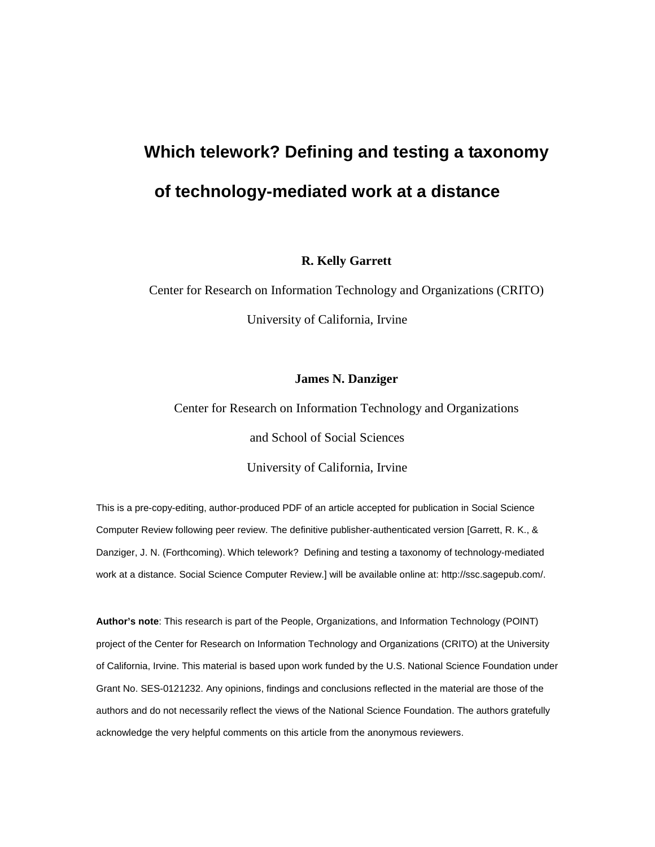# **Which telework? Defining and testing a taxonomy of technology-mediated work at a distance**

**R. Kelly Garrett** 

Center for Research on Information Technology and Organizations (CRITO) University of California, Irvine

#### **James N. Danziger**

Center for Research on Information Technology and Organizations

and School of Social Sciences

University of California, Irvine

This is a pre-copy-editing, author-produced PDF of an article accepted for publication in Social Science Computer Review following peer review. The definitive publisher-authenticated version [Garrett, R. K., & Danziger, J. N. (Forthcoming). Which telework? Defining and testing a taxonomy of technology-mediated work at a distance. Social Science Computer Review.] will be available online at: http://ssc.sagepub.com/.

**Author's note**: This research is part of the People, Organizations, and Information Technology (POINT) project of the Center for Research on Information Technology and Organizations (CRITO) at the University of California, Irvine. This material is based upon work funded by the U.S. National Science Foundation under Grant No. SES-0121232. Any opinions, findings and conclusions reflected in the material are those of the authors and do not necessarily reflect the views of the National Science Foundation. The authors gratefully acknowledge the very helpful comments on this article from the anonymous reviewers.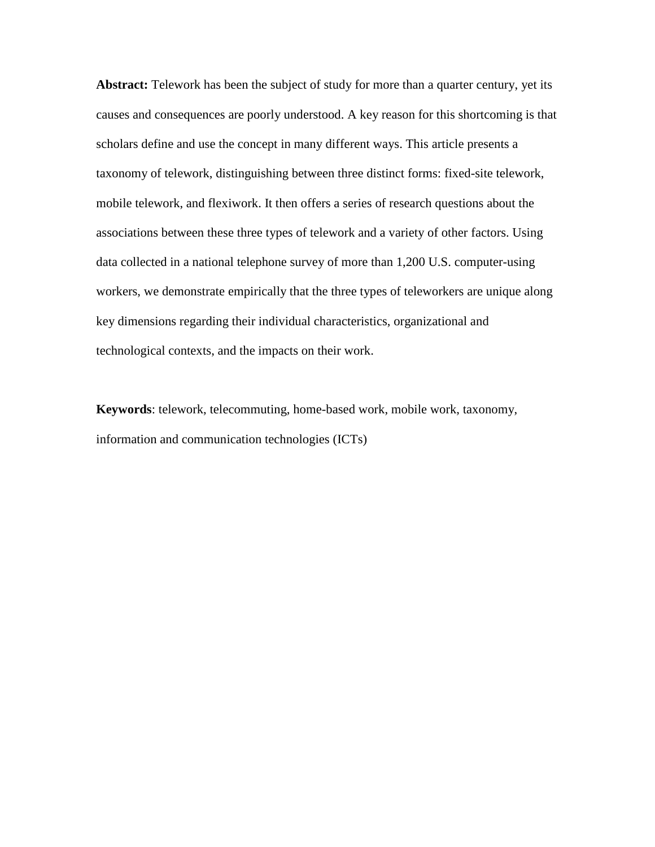**Abstract:** Telework has been the subject of study for more than a quarter century, yet its causes and consequences are poorly understood. A key reason for this shortcoming is that scholars define and use the concept in many different ways. This article presents a taxonomy of telework, distinguishing between three distinct forms: fixed-site telework, mobile telework, and flexiwork. It then offers a series of research questions about the associations between these three types of telework and a variety of other factors. Using data collected in a national telephone survey of more than 1,200 U.S. computer-using workers, we demonstrate empirically that the three types of teleworkers are unique along key dimensions regarding their individual characteristics, organizational and technological contexts, and the impacts on their work.

**Keywords**: telework, telecommuting, home-based work, mobile work, taxonomy, information and communication technologies (ICTs)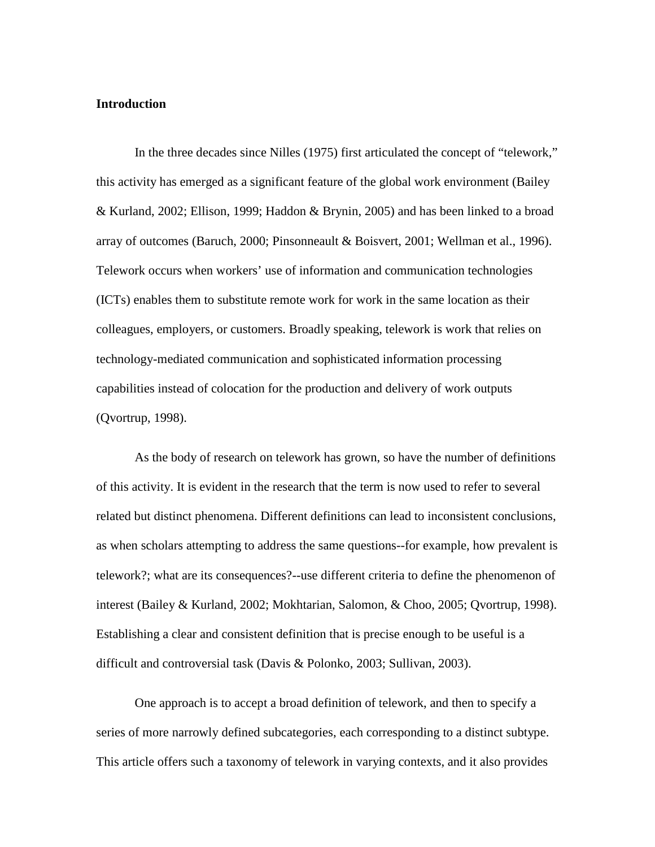#### **Introduction**

In the three decades since Nilles (1975) first articulated the concept of "telework," this activity has emerged as a significant feature of the global work environment (Bailey & Kurland, 2002; Ellison, 1999; Haddon & Brynin, 2005) and has been linked to a broad array of outcomes (Baruch, 2000; Pinsonneault & Boisvert, 2001; Wellman et al., 1996). Telework occurs when workers' use of information and communication technologies (ICTs) enables them to substitute remote work for work in the same location as their colleagues, employers, or customers. Broadly speaking, telework is work that relies on technology-mediated communication and sophisticated information processing capabilities instead of colocation for the production and delivery of work outputs (Qvortrup, 1998).

As the body of research on telework has grown, so have the number of definitions of this activity. It is evident in the research that the term is now used to refer to several related but distinct phenomena. Different definitions can lead to inconsistent conclusions, as when scholars attempting to address the same questions--for example, how prevalent is telework?; what are its consequences?--use different criteria to define the phenomenon of interest (Bailey & Kurland, 2002; Mokhtarian, Salomon, & Choo, 2005; Qvortrup, 1998). Establishing a clear and consistent definition that is precise enough to be useful is a difficult and controversial task (Davis & Polonko, 2003; Sullivan, 2003).

One approach is to accept a broad definition of telework, and then to specify a series of more narrowly defined subcategories, each corresponding to a distinct subtype. This article offers such a taxonomy of telework in varying contexts, and it also provides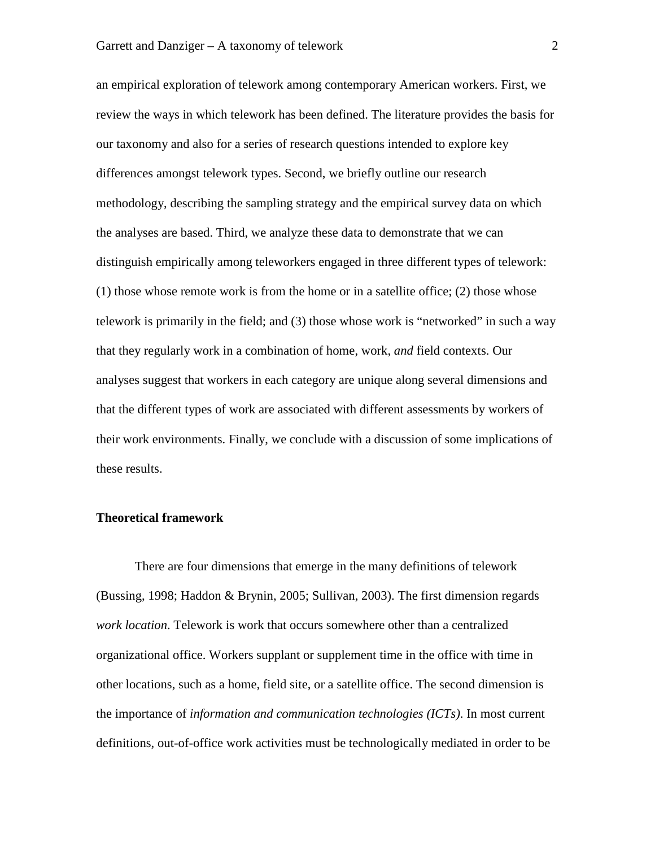an empirical exploration of telework among contemporary American workers. First, we review the ways in which telework has been defined. The literature provides the basis for our taxonomy and also for a series of research questions intended to explore key differences amongst telework types. Second, we briefly outline our research methodology, describing the sampling strategy and the empirical survey data on which the analyses are based. Third, we analyze these data to demonstrate that we can distinguish empirically among teleworkers engaged in three different types of telework:  $(1)$  those whose remote work is from the home or in a satellite office;  $(2)$  those whose telework is primarily in the field; and (3) those whose work is "networked" in such a way that they regularly work in a combination of home, work, *and* field contexts. Our analyses suggest that workers in each category are unique along several dimensions and that the different types of work are associated with different assessments by workers of their work environments. Finally, we conclude with a discussion of some implications of these results.

#### **Theoretical framework**

There are four dimensions that emerge in the many definitions of telework (Bussing, 1998; Haddon & Brynin, 2005; Sullivan, 2003). The first dimension regards *work location*. Telework is work that occurs somewhere other than a centralized organizational office. Workers supplant or supplement time in the office with time in other locations, such as a home, field site, or a satellite office. The second dimension is the importance of *information and communication technologies (ICTs)*. In most current definitions, out-of-office work activities must be technologically mediated in order to be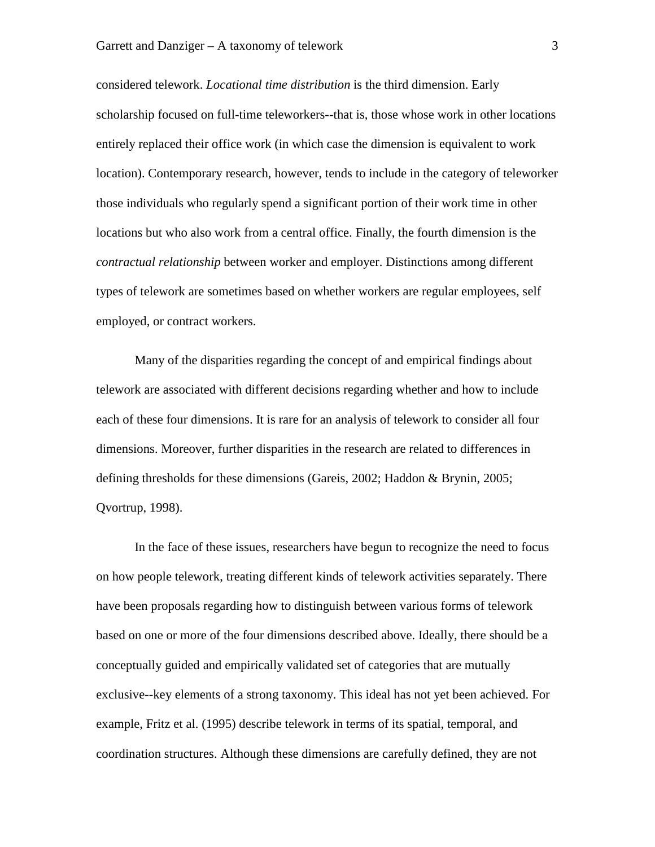considered telework. *Locational time distribution* is the third dimension. Early scholarship focused on full-time teleworkers--that is, those whose work in other locations entirely replaced their office work (in which case the dimension is equivalent to work location). Contemporary research, however, tends to include in the category of teleworker those individuals who regularly spend a significant portion of their work time in other locations but who also work from a central office. Finally, the fourth dimension is the *contractual relationship* between worker and employer. Distinctions among different types of telework are sometimes based on whether workers are regular employees, self employed, or contract workers.

Many of the disparities regarding the concept of and empirical findings about telework are associated with different decisions regarding whether and how to include each of these four dimensions. It is rare for an analysis of telework to consider all four dimensions. Moreover, further disparities in the research are related to differences in defining thresholds for these dimensions (Gareis, 2002; Haddon & Brynin, 2005; Qvortrup, 1998).

In the face of these issues, researchers have begun to recognize the need to focus on how people telework, treating different kinds of telework activities separately. There have been proposals regarding how to distinguish between various forms of telework based on one or more of the four dimensions described above. Ideally, there should be a conceptually guided and empirically validated set of categories that are mutually exclusive--key elements of a strong taxonomy. This ideal has not yet been achieved. For example, Fritz et al. (1995) describe telework in terms of its spatial, temporal, and coordination structures. Although these dimensions are carefully defined, they are not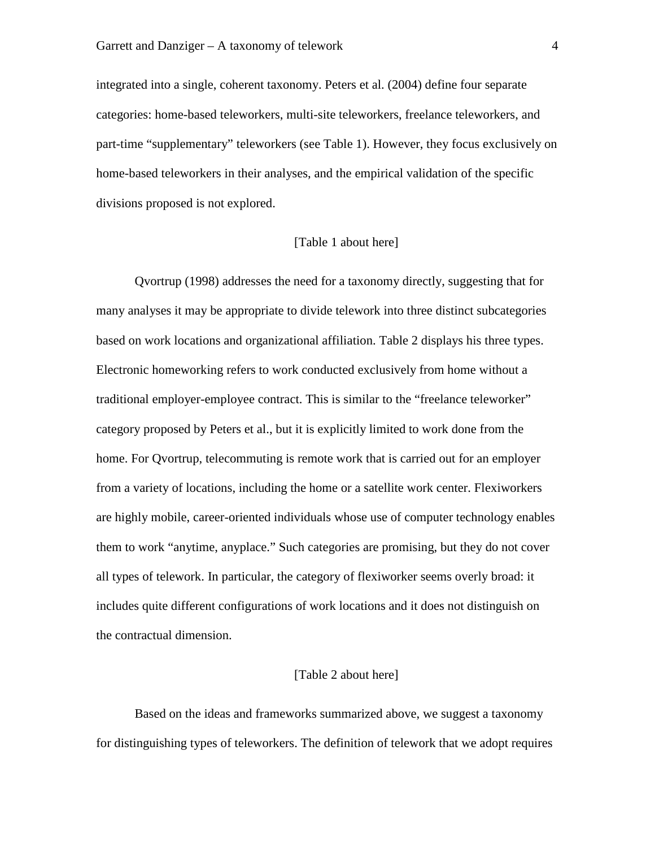integrated into a single, coherent taxonomy. Peters et al. (2004) define four separate categories: home-based teleworkers, multi-site teleworkers, freelance teleworkers, and part-time "supplementary" teleworkers (see Table 1). However, they focus exclusively on home-based teleworkers in their analyses, and the empirical validation of the specific divisions proposed is not explored.

#### [Table 1 about here]

Qvortrup (1998) addresses the need for a taxonomy directly, suggesting that for many analyses it may be appropriate to divide telework into three distinct subcategories based on work locations and organizational affiliation. Table 2 displays his three types. Electronic homeworking refers to work conducted exclusively from home without a traditional employer-employee contract. This is similar to the "freelance teleworker" category proposed by Peters et al., but it is explicitly limited to work done from the home. For Qvortrup, telecommuting is remote work that is carried out for an employer from a variety of locations, including the home or a satellite work center. Flexiworkers are highly mobile, career-oriented individuals whose use of computer technology enables them to work "anytime, anyplace." Such categories are promising, but they do not cover all types of telework. In particular, the category of flexiworker seems overly broad: it includes quite different configurations of work locations and it does not distinguish on the contractual dimension.

#### [Table 2 about here]

Based on the ideas and frameworks summarized above, we suggest a taxonomy for distinguishing types of teleworkers. The definition of telework that we adopt requires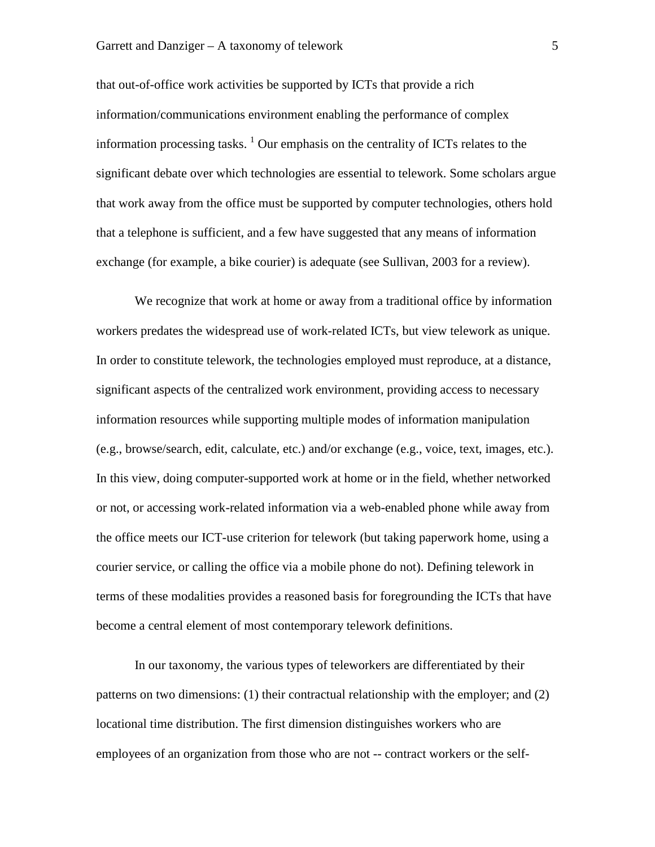#### Garrett and Danziger – A taxonomy of telework 5

that out-of-office work activities be supported by ICTs that provide a rich information/communications environment enabling the performance of complex information processing tasks.  $\frac{1}{1}$  Our emphasis on the centrality of ICTs relates to the significant debate over which technologies are essential to telework. Some scholars argue that work away from the office must be supported by computer technologies, others hold that a telephone is sufficient, and a few have suggested that any means of information exchange (for example, a bike courier) is adequate (see Sullivan, 2003 for a review).

We recognize that work at home or away from a traditional office by information workers predates the widespread use of work-related ICTs, but view telework as unique. In order to constitute telework, the technologies employed must reproduce, at a distance, significant aspects of the centralized work environment, providing access to necessary information resources while supporting multiple modes of information manipulation (e.g., browse/search, edit, calculate, etc.) and/or exchange (e.g., voice, text, images, etc.). In this view, doing computer-supported work at home or in the field, whether networked or not, or accessing work-related information via a web-enabled phone while away from the office meets our ICT-use criterion for telework (but taking paperwork home, using a courier service, or calling the office via a mobile phone do not). Defining telework in terms of these modalities provides a reasoned basis for foregrounding the ICTs that have become a central element of most contemporary telework definitions.

In our taxonomy, the various types of teleworkers are differentiated by their patterns on two dimensions: (1) their contractual relationship with the employer; and (2) locational time distribution. The first dimension distinguishes workers who are employees of an organization from those who are not -- contract workers or the self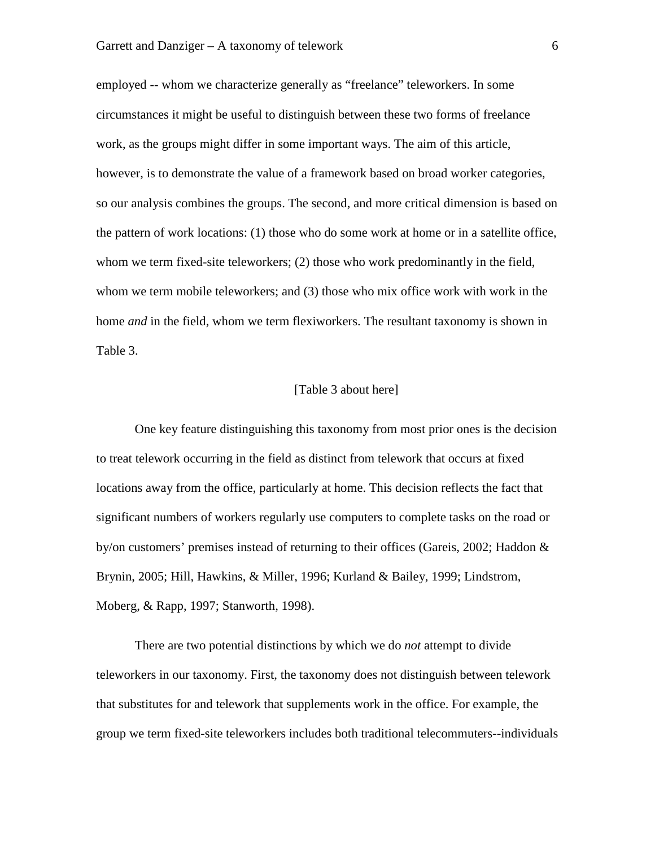employed -- whom we characterize generally as "freelance" teleworkers. In some circumstances it might be useful to distinguish between these two forms of freelance work, as the groups might differ in some important ways. The aim of this article, however, is to demonstrate the value of a framework based on broad worker categories, so our analysis combines the groups. The second, and more critical dimension is based on the pattern of work locations: (1) those who do some work at home or in a satellite office, whom we term fixed-site teleworkers; (2) those who work predominantly in the field, whom we term mobile teleworkers; and (3) those who mix office work with work in the home *and* in the field, whom we term flexiworkers. The resultant taxonomy is shown in Table 3.

#### [Table 3 about here]

One key feature distinguishing this taxonomy from most prior ones is the decision to treat telework occurring in the field as distinct from telework that occurs at fixed locations away from the office, particularly at home. This decision reflects the fact that significant numbers of workers regularly use computers to complete tasks on the road or by/on customers' premises instead of returning to their offices (Gareis, 2002; Haddon & Brynin, 2005; Hill, Hawkins, & Miller, 1996; Kurland & Bailey, 1999; Lindstrom, Moberg, & Rapp, 1997; Stanworth, 1998).

There are two potential distinctions by which we do *not* attempt to divide teleworkers in our taxonomy. First, the taxonomy does not distinguish between telework that substitutes for and telework that supplements work in the office. For example, the group we term fixed-site teleworkers includes both traditional telecommuters--individuals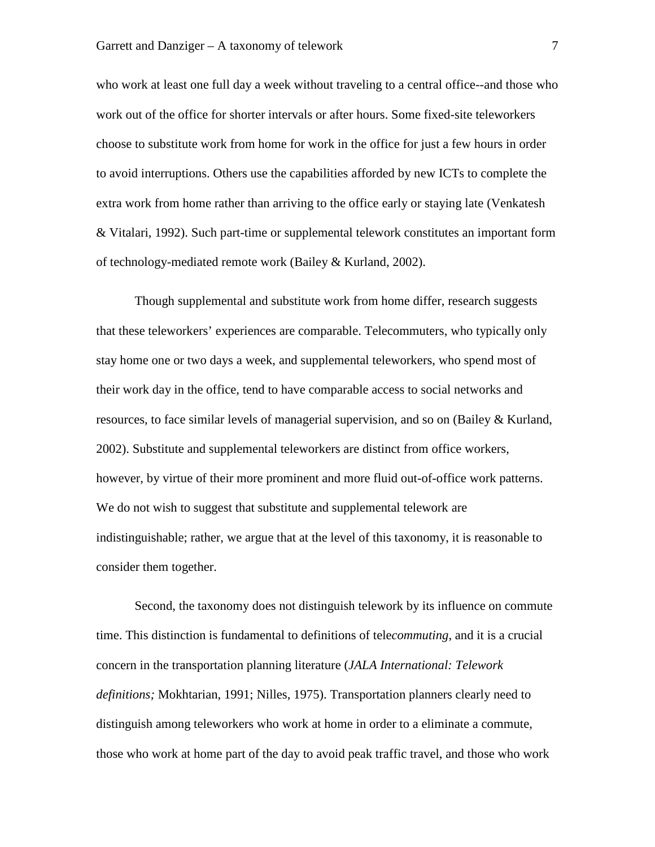who work at least one full day a week without traveling to a central office--and those who work out of the office for shorter intervals or after hours. Some fixed-site teleworkers choose to substitute work from home for work in the office for just a few hours in order to avoid interruptions. Others use the capabilities afforded by new ICTs to complete the extra work from home rather than arriving to the office early or staying late (Venkatesh & Vitalari, 1992). Such part-time or supplemental telework constitutes an important form of technology-mediated remote work (Bailey & Kurland, 2002).

Though supplemental and substitute work from home differ, research suggests that these teleworkers' experiences are comparable. Telecommuters, who typically only stay home one or two days a week, and supplemental teleworkers, who spend most of their work day in the office, tend to have comparable access to social networks and resources, to face similar levels of managerial supervision, and so on (Bailey & Kurland, 2002). Substitute and supplemental teleworkers are distinct from office workers, however, by virtue of their more prominent and more fluid out-of-office work patterns. We do not wish to suggest that substitute and supplemental telework are indistinguishable; rather, we argue that at the level of this taxonomy, it is reasonable to consider them together.

Second, the taxonomy does not distinguish telework by its influence on commute time. This distinction is fundamental to definitions of tele*commuting*, and it is a crucial concern in the transportation planning literature (*JALA International: Telework definitions;* Mokhtarian, 1991; Nilles, 1975). Transportation planners clearly need to distinguish among teleworkers who work at home in order to a eliminate a commute, those who work at home part of the day to avoid peak traffic travel, and those who work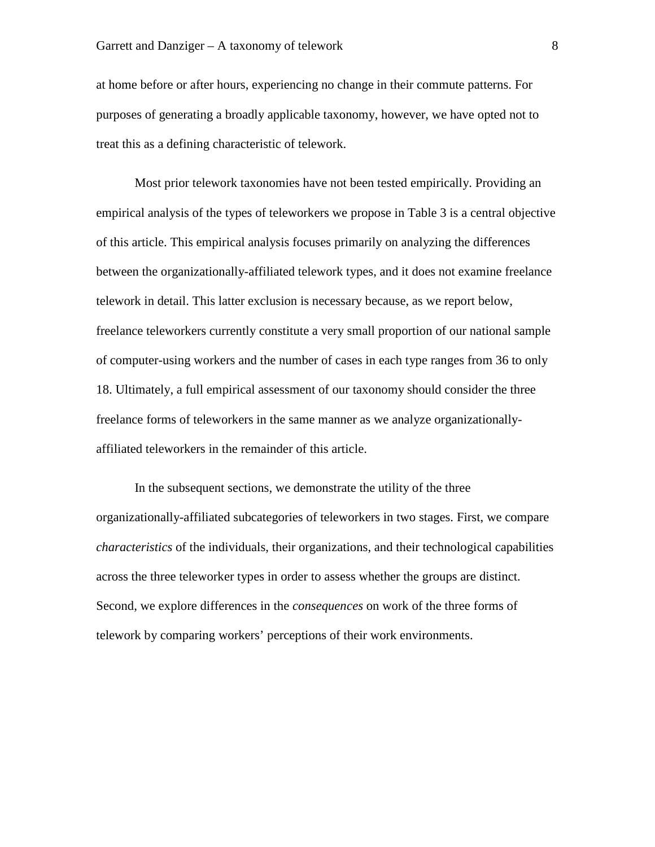at home before or after hours, experiencing no change in their commute patterns. For purposes of generating a broadly applicable taxonomy, however, we have opted not to treat this as a defining characteristic of telework.

Most prior telework taxonomies have not been tested empirically. Providing an empirical analysis of the types of teleworkers we propose in Table 3 is a central objective of this article. This empirical analysis focuses primarily on analyzing the differences between the organizationally-affiliated telework types, and it does not examine freelance telework in detail. This latter exclusion is necessary because, as we report below, freelance teleworkers currently constitute a very small proportion of our national sample of computer-using workers and the number of cases in each type ranges from 36 to only 18. Ultimately, a full empirical assessment of our taxonomy should consider the three freelance forms of teleworkers in the same manner as we analyze organizationallyaffiliated teleworkers in the remainder of this article.

In the subsequent sections, we demonstrate the utility of the three organizationally-affiliated subcategories of teleworkers in two stages. First, we compare *characteristics* of the individuals, their organizations, and their technological capabilities across the three teleworker types in order to assess whether the groups are distinct. Second, we explore differences in the *consequences* on work of the three forms of telework by comparing workers' perceptions of their work environments.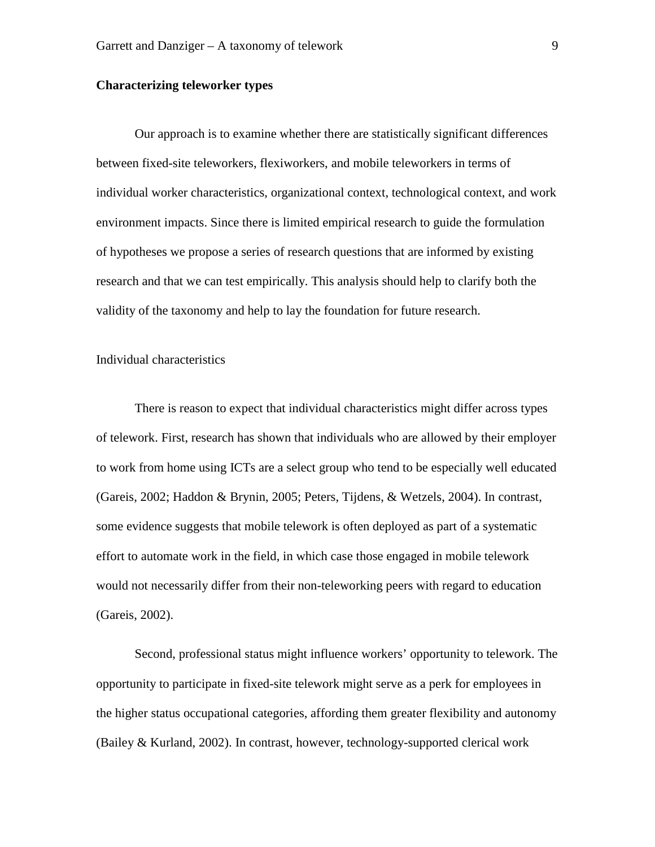#### **Characterizing teleworker types**

Our approach is to examine whether there are statistically significant differences between fixed-site teleworkers, flexiworkers, and mobile teleworkers in terms of individual worker characteristics, organizational context, technological context, and work environment impacts. Since there is limited empirical research to guide the formulation of hypotheses we propose a series of research questions that are informed by existing research and that we can test empirically. This analysis should help to clarify both the validity of the taxonomy and help to lay the foundation for future research.

Individual characteristics

There is reason to expect that individual characteristics might differ across types of telework. First, research has shown that individuals who are allowed by their employer to work from home using ICTs are a select group who tend to be especially well educated (Gareis, 2002; Haddon & Brynin, 2005; Peters, Tijdens, & Wetzels, 2004). In contrast, some evidence suggests that mobile telework is often deployed as part of a systematic effort to automate work in the field, in which case those engaged in mobile telework would not necessarily differ from their non-teleworking peers with regard to education (Gareis, 2002).

Second, professional status might influence workers' opportunity to telework. The opportunity to participate in fixed-site telework might serve as a perk for employees in the higher status occupational categories, affording them greater flexibility and autonomy (Bailey & Kurland, 2002). In contrast, however, technology-supported clerical work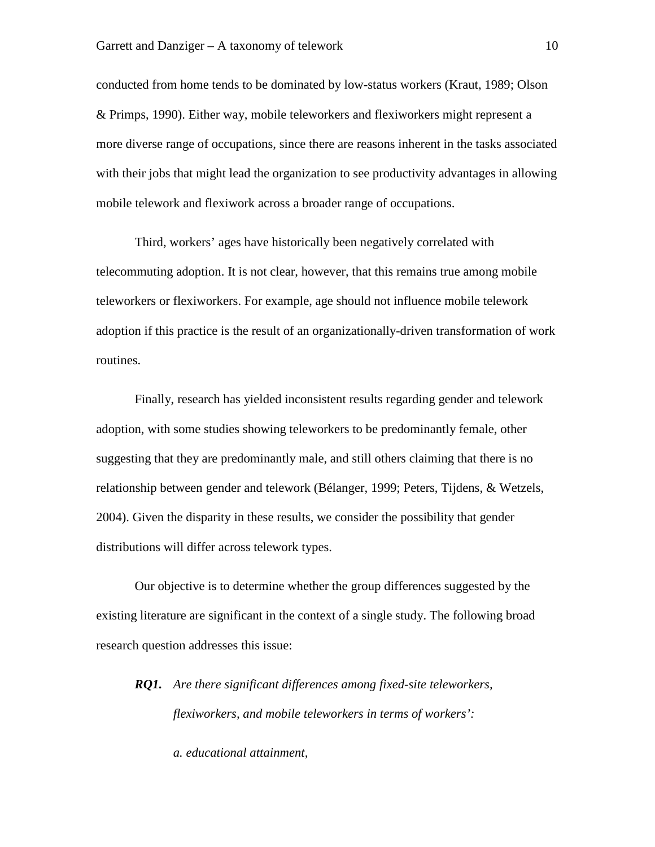conducted from home tends to be dominated by low-status workers (Kraut, 1989; Olson & Primps, 1990). Either way, mobile teleworkers and flexiworkers might represent a more diverse range of occupations, since there are reasons inherent in the tasks associated with their jobs that might lead the organization to see productivity advantages in allowing mobile telework and flexiwork across a broader range of occupations.

Third, workers' ages have historically been negatively correlated with telecommuting adoption. It is not clear, however, that this remains true among mobile teleworkers or flexiworkers. For example, age should not influence mobile telework adoption if this practice is the result of an organizationally-driven transformation of work routines.

Finally, research has yielded inconsistent results regarding gender and telework adoption, with some studies showing teleworkers to be predominantly female, other suggesting that they are predominantly male, and still others claiming that there is no relationship between gender and telework (Bélanger, 1999; Peters, Tijdens, & Wetzels, 2004). Given the disparity in these results, we consider the possibility that gender distributions will differ across telework types.

Our objective is to determine whether the group differences suggested by the existing literature are significant in the context of a single study. The following broad research question addresses this issue:

*RQ1. Are there significant differences among fixed-site teleworkers, flexiworkers, and mobile teleworkers in terms of workers':* 

 *a. educational attainment,*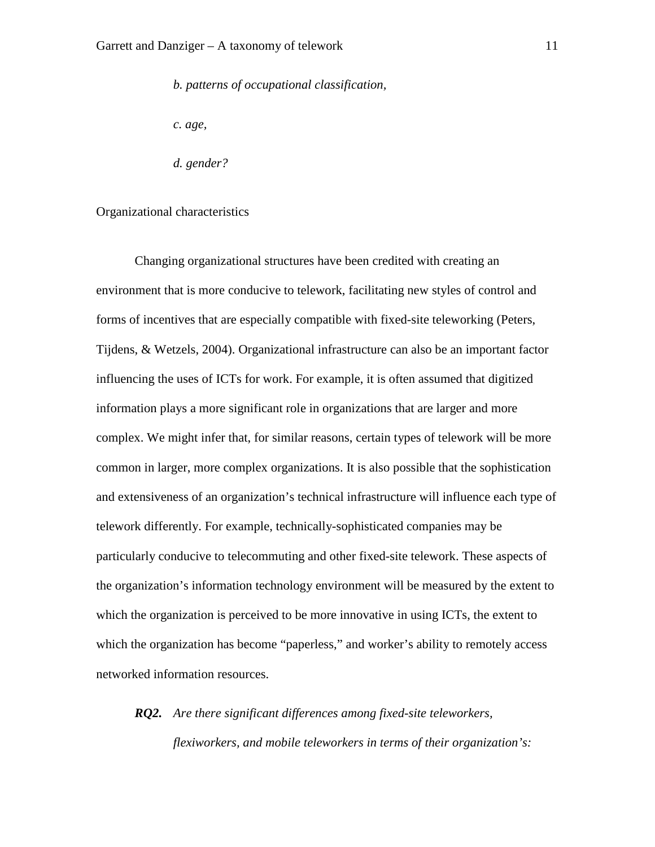*b. patterns of occupational classification,* 

 *c. age,* 

 *d. gender?* 

#### Organizational characteristics

Changing organizational structures have been credited with creating an environment that is more conducive to telework, facilitating new styles of control and forms of incentives that are especially compatible with fixed-site teleworking (Peters, Tijdens, & Wetzels, 2004). Organizational infrastructure can also be an important factor influencing the uses of ICTs for work. For example, it is often assumed that digitized information plays a more significant role in organizations that are larger and more complex. We might infer that, for similar reasons, certain types of telework will be more common in larger, more complex organizations. It is also possible that the sophistication and extensiveness of an organization's technical infrastructure will influence each type of telework differently. For example, technically-sophisticated companies may be particularly conducive to telecommuting and other fixed-site telework. These aspects of the organization's information technology environment will be measured by the extent to which the organization is perceived to be more innovative in using ICTs, the extent to which the organization has become "paperless," and worker's ability to remotely access networked information resources.

# *RQ2. Are there significant differences among fixed-site teleworkers, flexiworkers, and mobile teleworkers in terms of their organization's:*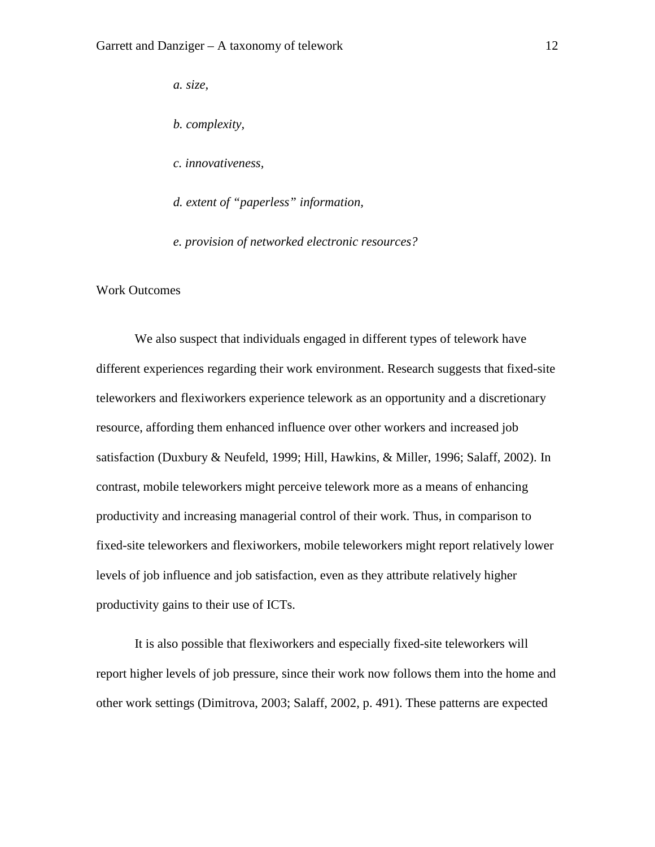*a. size,* 

 *b. complexity,* 

 *c. innovativeness,* 

 *d. extent of "paperless" information,* 

 *e. provision of networked electronic resources?* 

Work Outcomes

We also suspect that individuals engaged in different types of telework have different experiences regarding their work environment. Research suggests that fixed-site teleworkers and flexiworkers experience telework as an opportunity and a discretionary resource, affording them enhanced influence over other workers and increased job satisfaction (Duxbury & Neufeld, 1999; Hill, Hawkins, & Miller, 1996; Salaff, 2002). In contrast, mobile teleworkers might perceive telework more as a means of enhancing productivity and increasing managerial control of their work. Thus, in comparison to fixed-site teleworkers and flexiworkers, mobile teleworkers might report relatively lower levels of job influence and job satisfaction, even as they attribute relatively higher productivity gains to their use of ICTs.

It is also possible that flexiworkers and especially fixed-site teleworkers will report higher levels of job pressure, since their work now follows them into the home and other work settings (Dimitrova, 2003; Salaff, 2002, p. 491). These patterns are expected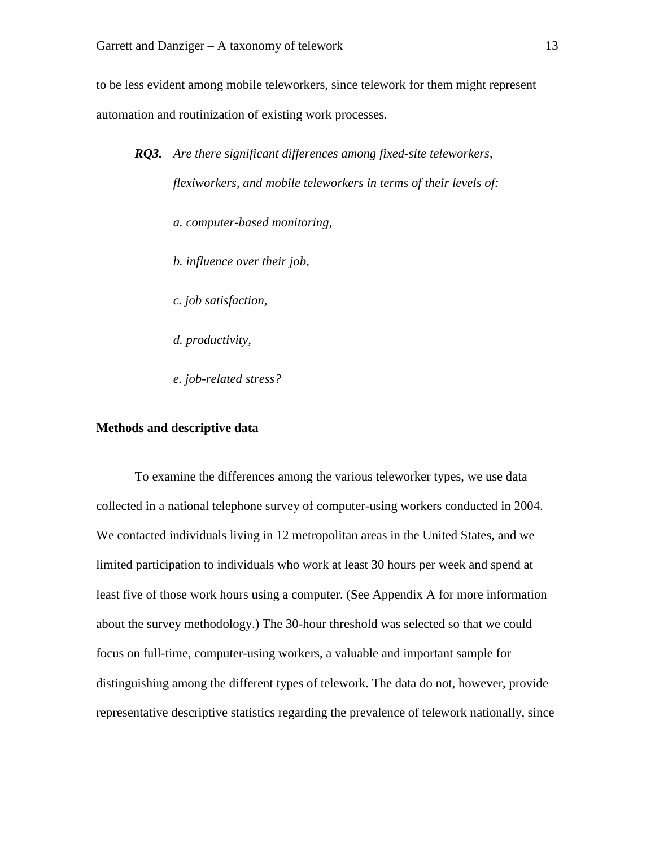to be less evident among mobile teleworkers, since telework for them might represent automation and routinization of existing work processes.

*RQ3. Are there significant differences among fixed-site teleworkers, flexiworkers, and mobile teleworkers in terms of their levels of: a. computer-based monitoring,* 

 *b. influence over their job,* 

 *c. job satisfaction,* 

 *d. productivity,* 

 *e. job-related stress?* 

#### **Methods and descriptive data**

To examine the differences among the various teleworker types, we use data collected in a national telephone survey of computer-using workers conducted in 2004. We contacted individuals living in 12 metropolitan areas in the United States, and we limited participation to individuals who work at least 30 hours per week and spend at least five of those work hours using a computer. (See Appendix A for more information about the survey methodology.) The 30-hour threshold was selected so that we could focus on full-time, computer-using workers, a valuable and important sample for distinguishing among the different types of telework. The data do not, however, provide representative descriptive statistics regarding the prevalence of telework nationally, since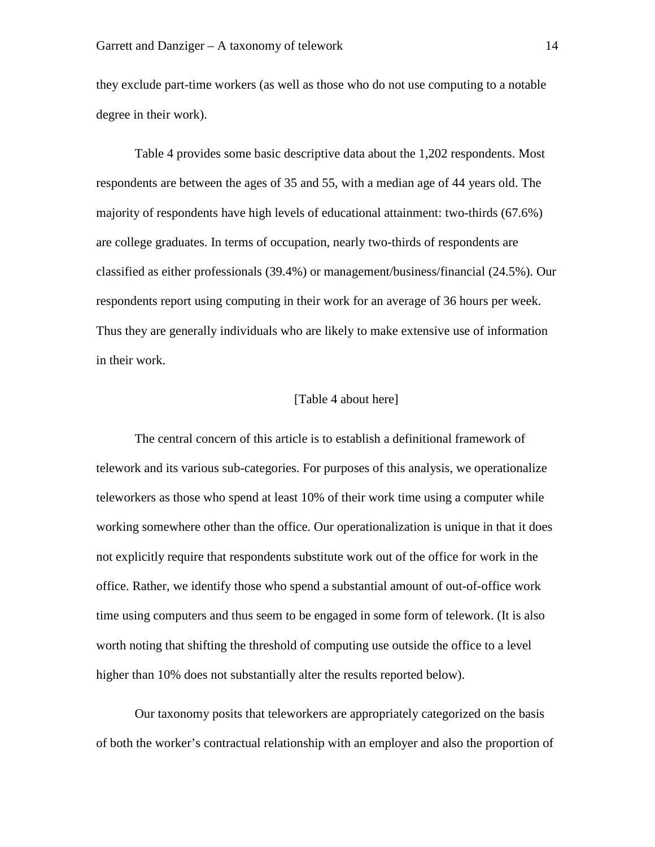they exclude part-time workers (as well as those who do not use computing to a notable degree in their work).

Table 4 provides some basic descriptive data about the 1,202 respondents. Most respondents are between the ages of 35 and 55, with a median age of 44 years old. The majority of respondents have high levels of educational attainment: two-thirds (67.6%) are college graduates. In terms of occupation, nearly two-thirds of respondents are classified as either professionals (39.4%) or management/business/financial (24.5%). Our respondents report using computing in their work for an average of 36 hours per week. Thus they are generally individuals who are likely to make extensive use of information in their work.

#### [Table 4 about here]

The central concern of this article is to establish a definitional framework of telework and its various sub-categories. For purposes of this analysis, we operationalize teleworkers as those who spend at least 10% of their work time using a computer while working somewhere other than the office. Our operationalization is unique in that it does not explicitly require that respondents substitute work out of the office for work in the office. Rather, we identify those who spend a substantial amount of out-of-office work time using computers and thus seem to be engaged in some form of telework. (It is also worth noting that shifting the threshold of computing use outside the office to a level higher than 10% does not substantially alter the results reported below).

Our taxonomy posits that teleworkers are appropriately categorized on the basis of both the worker's contractual relationship with an employer and also the proportion of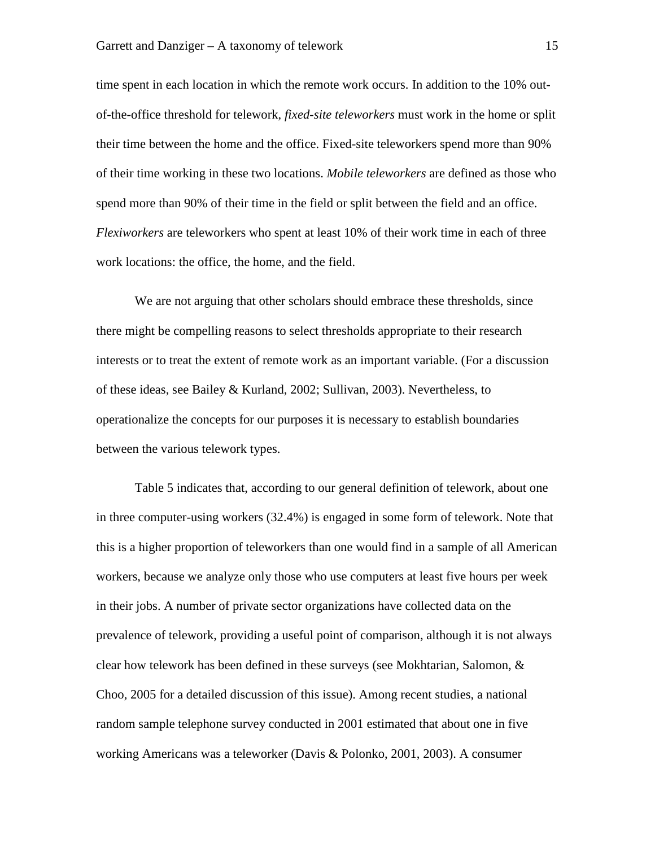time spent in each location in which the remote work occurs. In addition to the 10% outof-the-office threshold for telework, *fixed-site teleworkers* must work in the home or split their time between the home and the office. Fixed-site teleworkers spend more than 90% of their time working in these two locations. *Mobile teleworkers* are defined as those who spend more than 90% of their time in the field or split between the field and an office. *Flexiworkers* are teleworkers who spent at least 10% of their work time in each of three work locations: the office, the home, and the field.

We are not arguing that other scholars should embrace these thresholds, since there might be compelling reasons to select thresholds appropriate to their research interests or to treat the extent of remote work as an important variable. (For a discussion of these ideas, see Bailey & Kurland, 2002; Sullivan, 2003). Nevertheless, to operationalize the concepts for our purposes it is necessary to establish boundaries between the various telework types.

Table 5 indicates that, according to our general definition of telework, about one in three computer-using workers (32.4%) is engaged in some form of telework. Note that this is a higher proportion of teleworkers than one would find in a sample of all American workers, because we analyze only those who use computers at least five hours per week in their jobs. A number of private sector organizations have collected data on the prevalence of telework, providing a useful point of comparison, although it is not always clear how telework has been defined in these surveys (see Mokhtarian, Salomon, & Choo, 2005 for a detailed discussion of this issue). Among recent studies, a national random sample telephone survey conducted in 2001 estimated that about one in five working Americans was a teleworker (Davis & Polonko, 2001, 2003). A consumer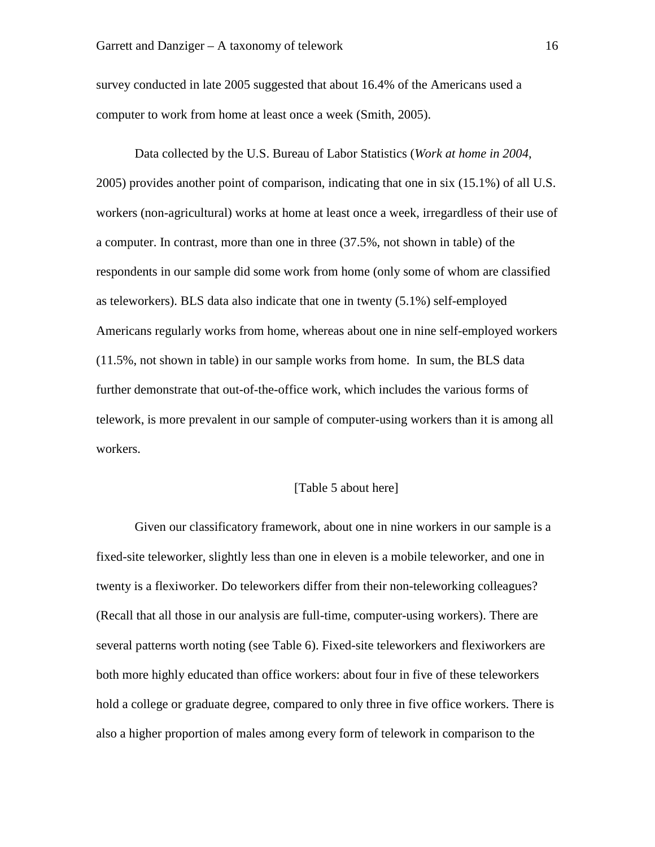survey conducted in late 2005 suggested that about 16.4% of the Americans used a computer to work from home at least once a week (Smith, 2005).

Data collected by the U.S. Bureau of Labor Statistics (*Work at home in 2004*, 2005) provides another point of comparison, indicating that one in six (15.1%) of all U.S. workers (non-agricultural) works at home at least once a week, irregardless of their use of a computer. In contrast, more than one in three (37.5%, not shown in table) of the respondents in our sample did some work from home (only some of whom are classified as teleworkers). BLS data also indicate that one in twenty (5.1%) self-employed Americans regularly works from home, whereas about one in nine self-employed workers (11.5%, not shown in table) in our sample works from home. In sum, the BLS data further demonstrate that out-of-the-office work, which includes the various forms of telework, is more prevalent in our sample of computer-using workers than it is among all workers.

#### [Table 5 about here]

Given our classificatory framework, about one in nine workers in our sample is a fixed-site teleworker, slightly less than one in eleven is a mobile teleworker, and one in twenty is a flexiworker. Do teleworkers differ from their non-teleworking colleagues? (Recall that all those in our analysis are full-time, computer-using workers). There are several patterns worth noting (see Table 6). Fixed-site teleworkers and flexiworkers are both more highly educated than office workers: about four in five of these teleworkers hold a college or graduate degree, compared to only three in five office workers. There is also a higher proportion of males among every form of telework in comparison to the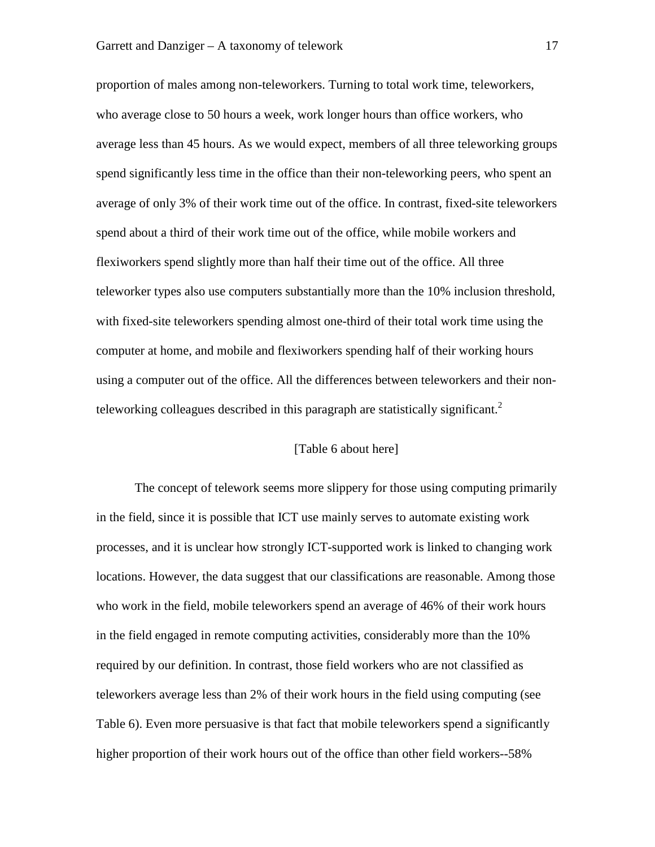proportion of males among non-teleworkers. Turning to total work time, teleworkers, who average close to 50 hours a week, work longer hours than office workers, who average less than 45 hours. As we would expect, members of all three teleworking groups spend significantly less time in the office than their non-teleworking peers, who spent an average of only 3% of their work time out of the office. In contrast, fixed-site teleworkers spend about a third of their work time out of the office, while mobile workers and flexiworkers spend slightly more than half their time out of the office. All three teleworker types also use computers substantially more than the 10% inclusion threshold, with fixed-site teleworkers spending almost one-third of their total work time using the computer at home, and mobile and flexiworkers spending half of their working hours using a computer out of the office. All the differences between teleworkers and their nonteleworking colleagues described in this paragraph are statistically significant.<sup>2</sup>

#### [Table 6 about here]

The concept of telework seems more slippery for those using computing primarily in the field, since it is possible that ICT use mainly serves to automate existing work processes, and it is unclear how strongly ICT-supported work is linked to changing work locations. However, the data suggest that our classifications are reasonable. Among those who work in the field, mobile teleworkers spend an average of 46% of their work hours in the field engaged in remote computing activities, considerably more than the 10% required by our definition. In contrast, those field workers who are not classified as teleworkers average less than 2% of their work hours in the field using computing (see Table 6). Even more persuasive is that fact that mobile teleworkers spend a significantly higher proportion of their work hours out of the office than other field workers--58%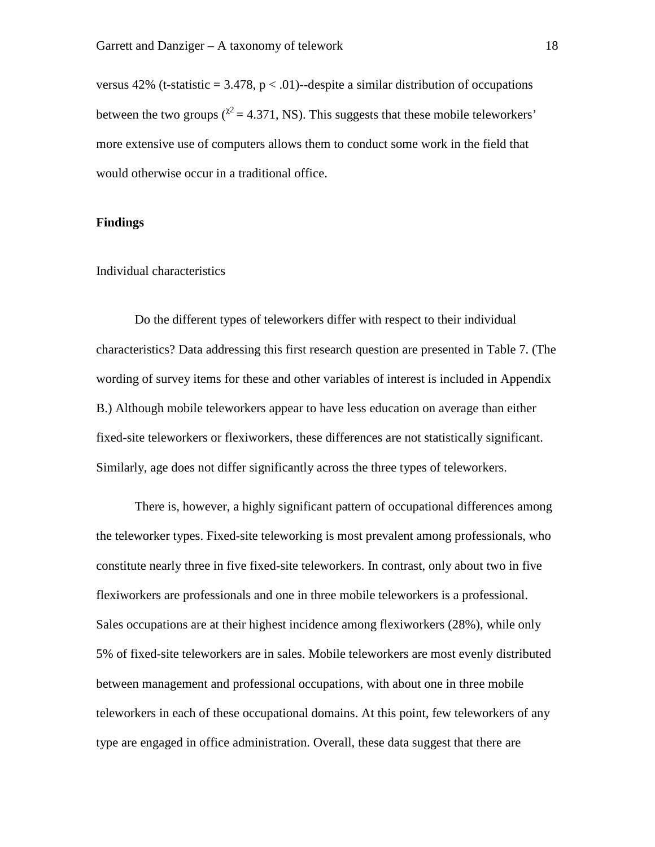versus 42% (t-statistic  $= 3.478$ , p  $< .01$ )-despite a similar distribution of occupations between the two groups ( $\chi^2$  = 4.371, NS). This suggests that these mobile teleworkers' more extensive use of computers allows them to conduct some work in the field that would otherwise occur in a traditional office.

#### **Findings**

#### Individual characteristics

Do the different types of teleworkers differ with respect to their individual characteristics? Data addressing this first research question are presented in Table 7. (The wording of survey items for these and other variables of interest is included in Appendix B.) Although mobile teleworkers appear to have less education on average than either fixed-site teleworkers or flexiworkers, these differences are not statistically significant. Similarly, age does not differ significantly across the three types of teleworkers.

There is, however, a highly significant pattern of occupational differences among the teleworker types. Fixed-site teleworking is most prevalent among professionals, who constitute nearly three in five fixed-site teleworkers. In contrast, only about two in five flexiworkers are professionals and one in three mobile teleworkers is a professional. Sales occupations are at their highest incidence among flexiworkers (28%), while only 5% of fixed-site teleworkers are in sales. Mobile teleworkers are most evenly distributed between management and professional occupations, with about one in three mobile teleworkers in each of these occupational domains. At this point, few teleworkers of any type are engaged in office administration. Overall, these data suggest that there are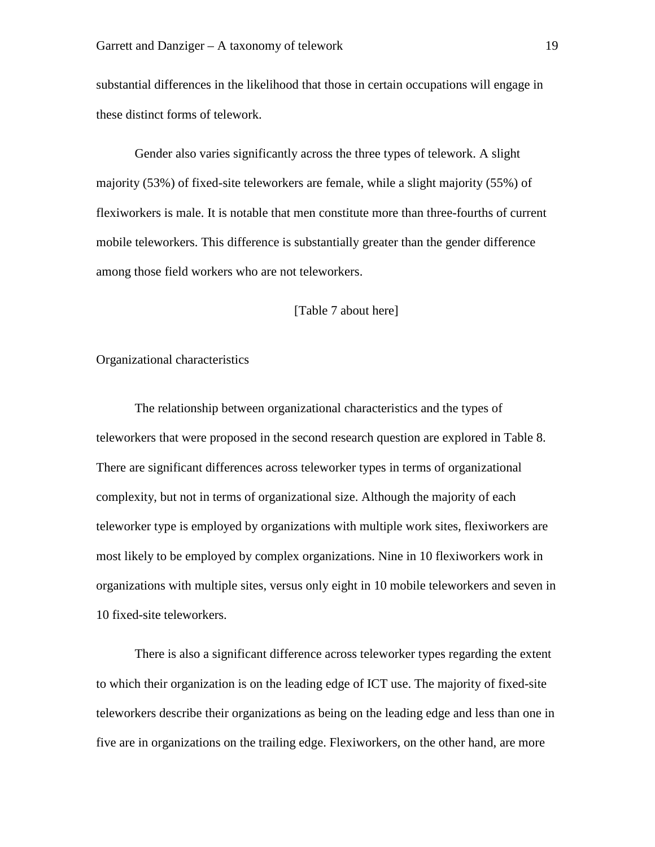substantial differences in the likelihood that those in certain occupations will engage in these distinct forms of telework.

Gender also varies significantly across the three types of telework. A slight majority (53%) of fixed-site teleworkers are female, while a slight majority (55%) of flexiworkers is male. It is notable that men constitute more than three-fourths of current mobile teleworkers. This difference is substantially greater than the gender difference among those field workers who are not teleworkers.

#### [Table 7 about here]

#### Organizational characteristics

The relationship between organizational characteristics and the types of teleworkers that were proposed in the second research question are explored in Table 8. There are significant differences across teleworker types in terms of organizational complexity, but not in terms of organizational size. Although the majority of each teleworker type is employed by organizations with multiple work sites, flexiworkers are most likely to be employed by complex organizations. Nine in 10 flexiworkers work in organizations with multiple sites, versus only eight in 10 mobile teleworkers and seven in 10 fixed-site teleworkers.

There is also a significant difference across teleworker types regarding the extent to which their organization is on the leading edge of ICT use. The majority of fixed-site teleworkers describe their organizations as being on the leading edge and less than one in five are in organizations on the trailing edge. Flexiworkers, on the other hand, are more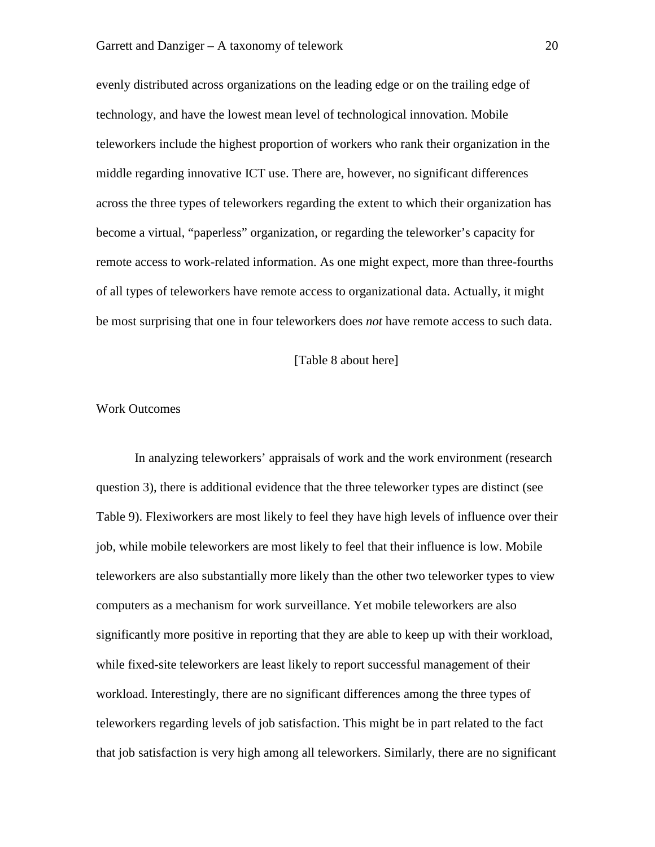evenly distributed across organizations on the leading edge or on the trailing edge of technology, and have the lowest mean level of technological innovation. Mobile teleworkers include the highest proportion of workers who rank their organization in the middle regarding innovative ICT use. There are, however, no significant differences across the three types of teleworkers regarding the extent to which their organization has become a virtual, "paperless" organization, or regarding the teleworker's capacity for remote access to work-related information. As one might expect, more than three-fourths of all types of teleworkers have remote access to organizational data. Actually, it might be most surprising that one in four teleworkers does *not* have remote access to such data.

#### [Table 8 about here]

#### Work Outcomes

In analyzing teleworkers' appraisals of work and the work environment (research question 3), there is additional evidence that the three teleworker types are distinct (see Table 9). Flexiworkers are most likely to feel they have high levels of influence over their job, while mobile teleworkers are most likely to feel that their influence is low. Mobile teleworkers are also substantially more likely than the other two teleworker types to view computers as a mechanism for work surveillance. Yet mobile teleworkers are also significantly more positive in reporting that they are able to keep up with their workload, while fixed-site teleworkers are least likely to report successful management of their workload. Interestingly, there are no significant differences among the three types of teleworkers regarding levels of job satisfaction. This might be in part related to the fact that job satisfaction is very high among all teleworkers. Similarly, there are no significant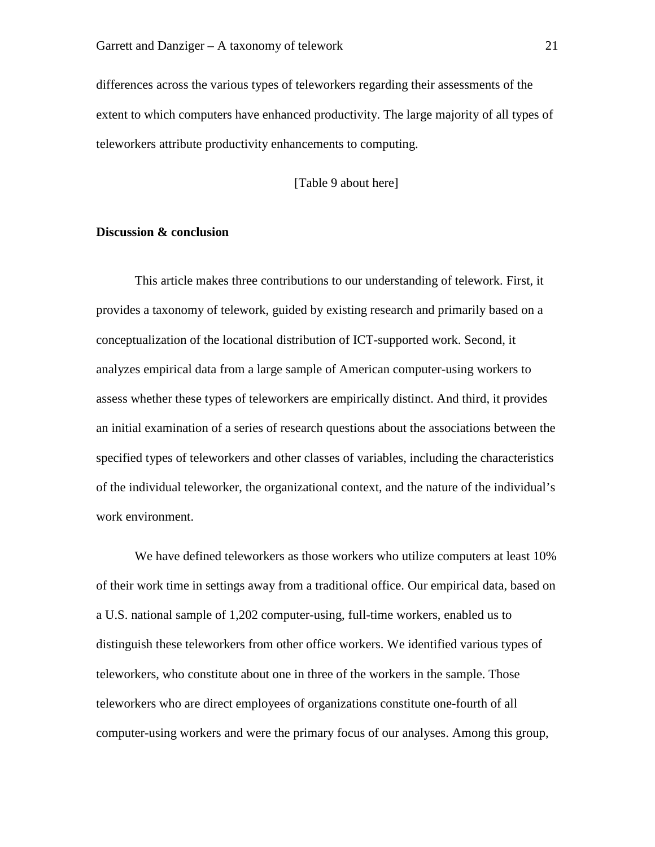differences across the various types of teleworkers regarding their assessments of the extent to which computers have enhanced productivity. The large majority of all types of teleworkers attribute productivity enhancements to computing.

[Table 9 about here]

#### **Discussion & conclusion**

This article makes three contributions to our understanding of telework. First, it provides a taxonomy of telework, guided by existing research and primarily based on a conceptualization of the locational distribution of ICT-supported work. Second, it analyzes empirical data from a large sample of American computer-using workers to assess whether these types of teleworkers are empirically distinct. And third, it provides an initial examination of a series of research questions about the associations between the specified types of teleworkers and other classes of variables, including the characteristics of the individual teleworker, the organizational context, and the nature of the individual's work environment.

We have defined teleworkers as those workers who utilize computers at least  $10\%$ of their work time in settings away from a traditional office. Our empirical data, based on a U.S. national sample of 1,202 computer-using, full-time workers, enabled us to distinguish these teleworkers from other office workers. We identified various types of teleworkers, who constitute about one in three of the workers in the sample. Those teleworkers who are direct employees of organizations constitute one-fourth of all computer-using workers and were the primary focus of our analyses. Among this group,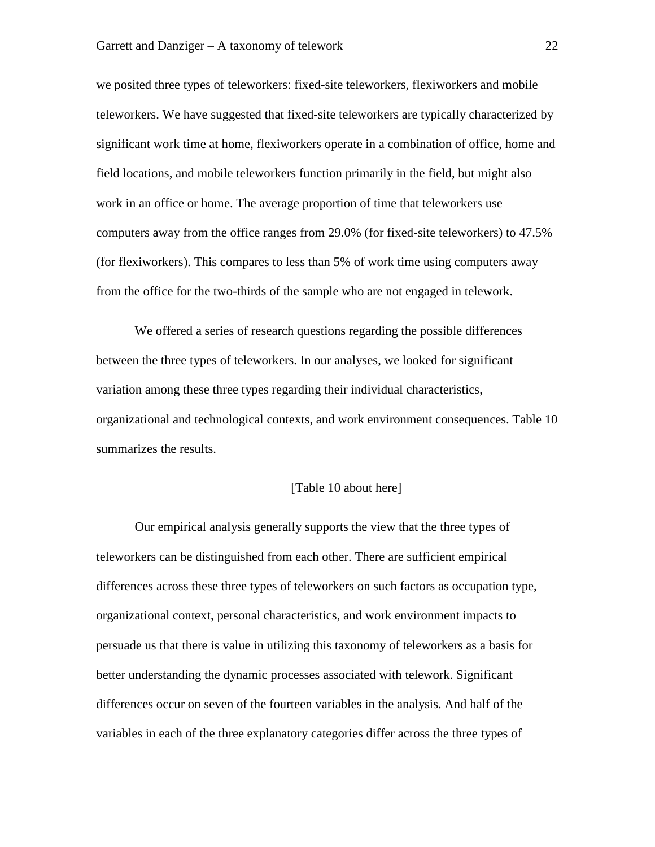we posited three types of teleworkers: fixed-site teleworkers, flexiworkers and mobile teleworkers. We have suggested that fixed-site teleworkers are typically characterized by significant work time at home, flexiworkers operate in a combination of office, home and field locations, and mobile teleworkers function primarily in the field, but might also work in an office or home. The average proportion of time that teleworkers use computers away from the office ranges from 29.0% (for fixed-site teleworkers) to 47.5% (for flexiworkers). This compares to less than 5% of work time using computers away from the office for the two-thirds of the sample who are not engaged in telework.

We offered a series of research questions regarding the possible differences between the three types of teleworkers. In our analyses, we looked for significant variation among these three types regarding their individual characteristics, organizational and technological contexts, and work environment consequences. Table 10 summarizes the results.

#### [Table 10 about here]

Our empirical analysis generally supports the view that the three types of teleworkers can be distinguished from each other. There are sufficient empirical differences across these three types of teleworkers on such factors as occupation type, organizational context, personal characteristics, and work environment impacts to persuade us that there is value in utilizing this taxonomy of teleworkers as a basis for better understanding the dynamic processes associated with telework. Significant differences occur on seven of the fourteen variables in the analysis. And half of the variables in each of the three explanatory categories differ across the three types of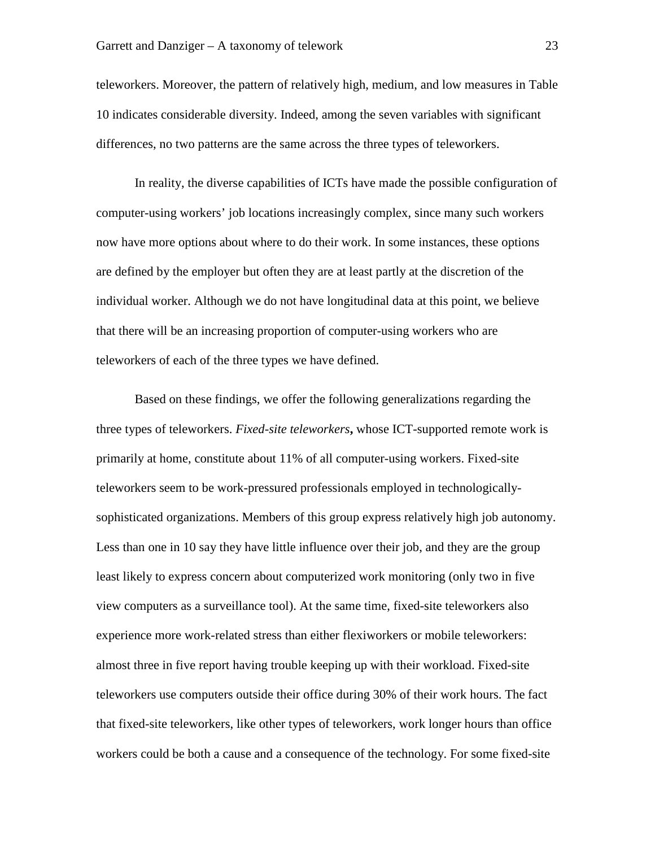teleworkers. Moreover, the pattern of relatively high, medium, and low measures in Table 10 indicates considerable diversity. Indeed, among the seven variables with significant differences, no two patterns are the same across the three types of teleworkers.

In reality, the diverse capabilities of ICTs have made the possible configuration of computer-using workers' job locations increasingly complex, since many such workers now have more options about where to do their work. In some instances, these options are defined by the employer but often they are at least partly at the discretion of the individual worker. Although we do not have longitudinal data at this point, we believe that there will be an increasing proportion of computer-using workers who are teleworkers of each of the three types we have defined.

Based on these findings, we offer the following generalizations regarding the three types of teleworkers. *Fixed-site teleworkers***,** whose ICT-supported remote work is primarily at home, constitute about 11% of all computer-using workers. Fixed-site teleworkers seem to be work-pressured professionals employed in technologicallysophisticated organizations. Members of this group express relatively high job autonomy. Less than one in 10 say they have little influence over their job, and they are the group least likely to express concern about computerized work monitoring (only two in five view computers as a surveillance tool). At the same time, fixed-site teleworkers also experience more work-related stress than either flexiworkers or mobile teleworkers: almost three in five report having trouble keeping up with their workload. Fixed-site teleworkers use computers outside their office during 30% of their work hours. The fact that fixed-site teleworkers, like other types of teleworkers, work longer hours than office workers could be both a cause and a consequence of the technology. For some fixed-site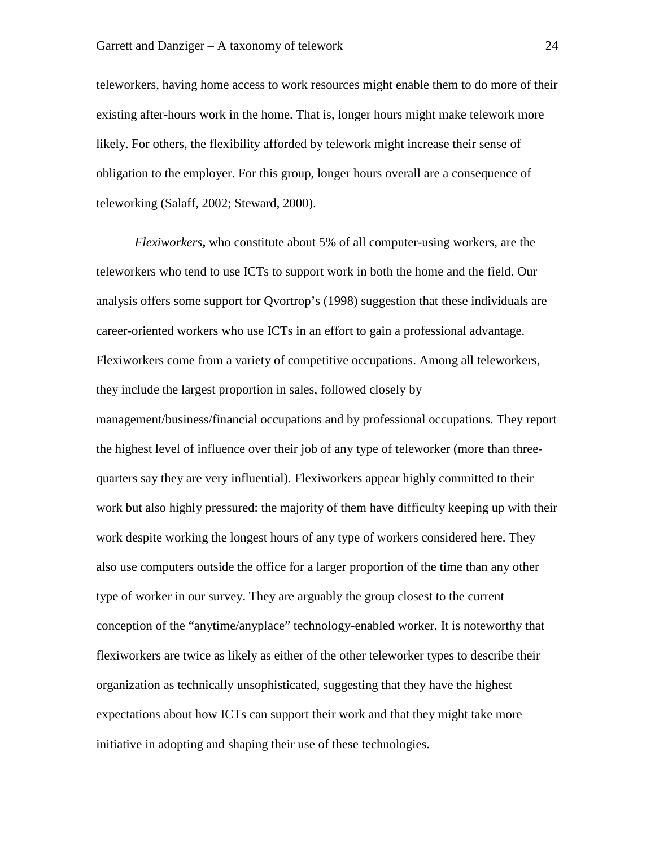teleworkers, having home access to work resources might enable them to do more of their existing after-hours work in the home. That is, longer hours might make telework more likely. For others, the flexibility afforded by telework might increase their sense of obligation to the employer. For this group, longer hours overall are a consequence of teleworking (Salaff, 2002; Steward, 2000).

*Flexiworkers***,** who constitute about 5% of all computer-using workers, are the teleworkers who tend to use ICTs to support work in both the home and the field. Our analysis offers some support for Qvortrop's (1998) suggestion that these individuals are career-oriented workers who use ICTs in an effort to gain a professional advantage. Flexiworkers come from a variety of competitive occupations. Among all teleworkers, they include the largest proportion in sales, followed closely by management/business/financial occupations and by professional occupations. They report the highest level of influence over their job of any type of teleworker (more than threequarters say they are very influential). Flexiworkers appear highly committed to their work but also highly pressured: the majority of them have difficulty keeping up with their work despite working the longest hours of any type of workers considered here. They also use computers outside the office for a larger proportion of the time than any other type of worker in our survey. They are arguably the group closest to the current conception of the "anytime/anyplace" technology-enabled worker. It is noteworthy that flexiworkers are twice as likely as either of the other teleworker types to describe their organization as technically unsophisticated, suggesting that they have the highest expectations about how ICTs can support their work and that they might take more initiative in adopting and shaping their use of these technologies.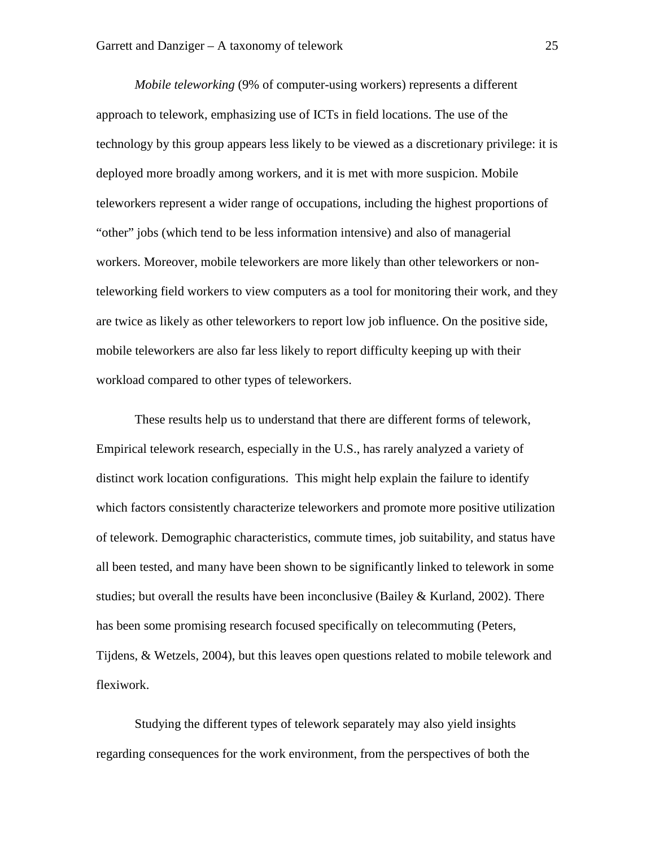*Mobile teleworking* (9% of computer-using workers) represents a different approach to telework, emphasizing use of ICTs in field locations. The use of the technology by this group appears less likely to be viewed as a discretionary privilege: it is deployed more broadly among workers, and it is met with more suspicion. Mobile teleworkers represent a wider range of occupations, including the highest proportions of "other" jobs (which tend to be less information intensive) and also of managerial workers. Moreover, mobile teleworkers are more likely than other teleworkers or nonteleworking field workers to view computers as a tool for monitoring their work, and they are twice as likely as other teleworkers to report low job influence. On the positive side, mobile teleworkers are also far less likely to report difficulty keeping up with their workload compared to other types of teleworkers.

These results help us to understand that there are different forms of telework, Empirical telework research, especially in the U.S., has rarely analyzed a variety of distinct work location configurations. This might help explain the failure to identify which factors consistently characterize teleworkers and promote more positive utilization of telework. Demographic characteristics, commute times, job suitability, and status have all been tested, and many have been shown to be significantly linked to telework in some studies; but overall the results have been inconclusive (Bailey & Kurland, 2002). There has been some promising research focused specifically on telecommuting (Peters, Tijdens, & Wetzels, 2004), but this leaves open questions related to mobile telework and flexiwork.

Studying the different types of telework separately may also yield insights regarding consequences for the work environment, from the perspectives of both the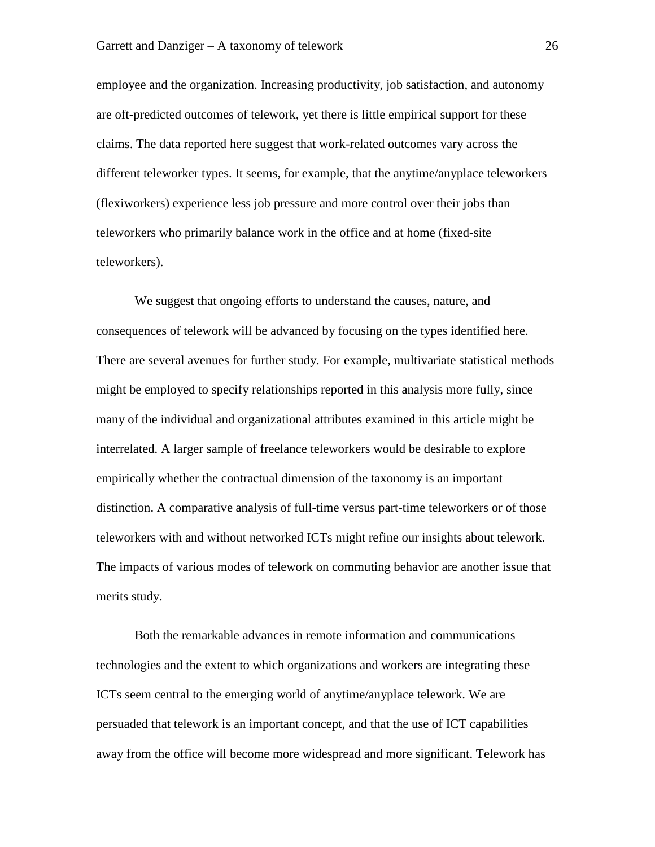employee and the organization. Increasing productivity, job satisfaction, and autonomy are oft-predicted outcomes of telework, yet there is little empirical support for these claims. The data reported here suggest that work-related outcomes vary across the different teleworker types. It seems, for example, that the anytime/anyplace teleworkers (flexiworkers) experience less job pressure and more control over their jobs than teleworkers who primarily balance work in the office and at home (fixed-site teleworkers).

We suggest that ongoing efforts to understand the causes, nature, and consequences of telework will be advanced by focusing on the types identified here. There are several avenues for further study. For example, multivariate statistical methods might be employed to specify relationships reported in this analysis more fully, since many of the individual and organizational attributes examined in this article might be interrelated. A larger sample of freelance teleworkers would be desirable to explore empirically whether the contractual dimension of the taxonomy is an important distinction. A comparative analysis of full-time versus part-time teleworkers or of those teleworkers with and without networked ICTs might refine our insights about telework. The impacts of various modes of telework on commuting behavior are another issue that merits study.

Both the remarkable advances in remote information and communications technologies and the extent to which organizations and workers are integrating these ICTs seem central to the emerging world of anytime/anyplace telework. We are persuaded that telework is an important concept, and that the use of ICT capabilities away from the office will become more widespread and more significant. Telework has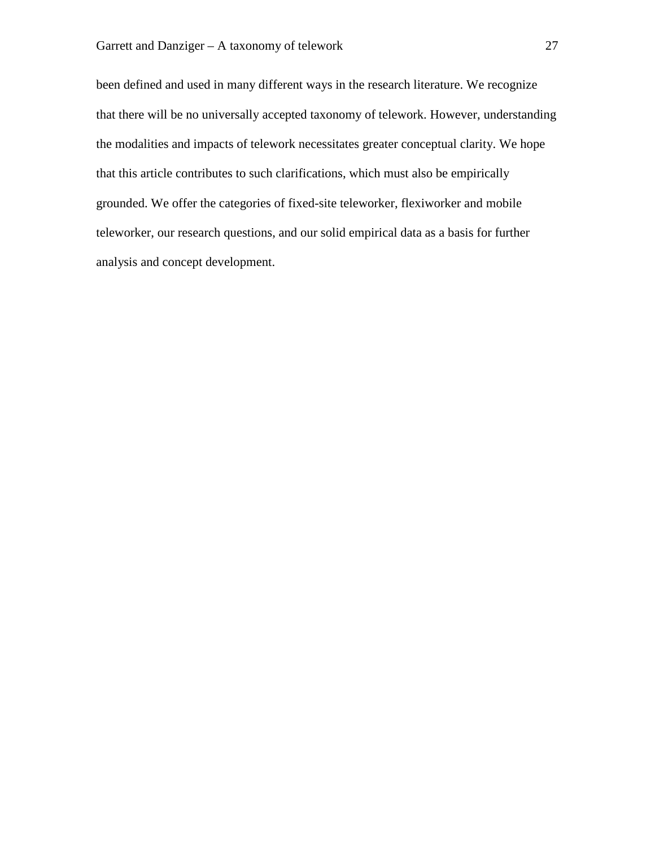been defined and used in many different ways in the research literature. We recognize that there will be no universally accepted taxonomy of telework. However, understanding the modalities and impacts of telework necessitates greater conceptual clarity. We hope that this article contributes to such clarifications, which must also be empirically grounded. We offer the categories of fixed-site teleworker, flexiworker and mobile teleworker, our research questions, and our solid empirical data as a basis for further analysis and concept development.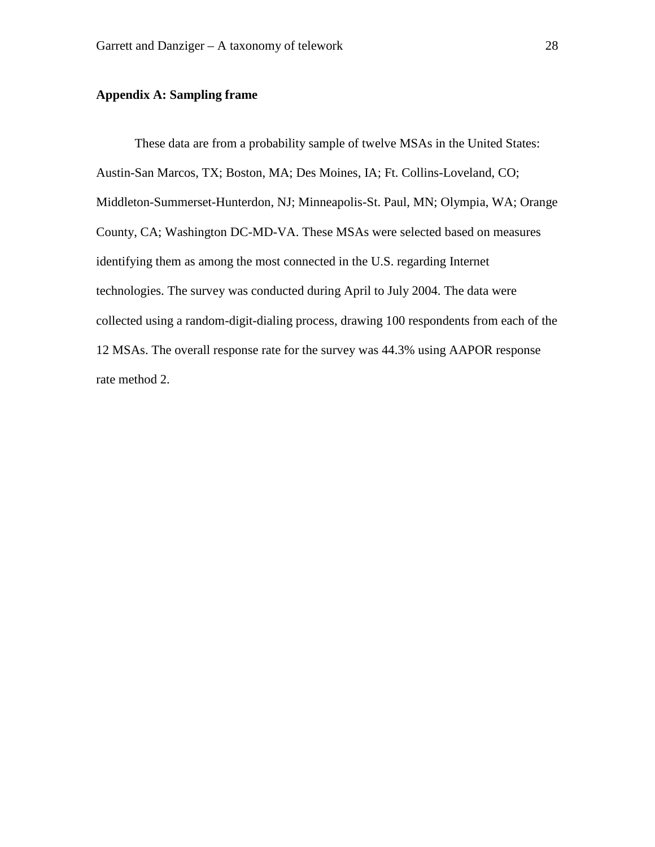#### **Appendix A: Sampling frame**

These data are from a probability sample of twelve MSAs in the United States: Austin-San Marcos, TX; Boston, MA; Des Moines, IA; Ft. Collins-Loveland, CO; Middleton-Summerset-Hunterdon, NJ; Minneapolis-St. Paul, MN; Olympia, WA; Orange County, CA; Washington DC-MD-VA. These MSAs were selected based on measures identifying them as among the most connected in the U.S. regarding Internet technologies. The survey was conducted during April to July 2004. The data were collected using a random-digit-dialing process, drawing 100 respondents from each of the 12 MSAs. The overall response rate for the survey was 44.3% using AAPOR response rate method 2.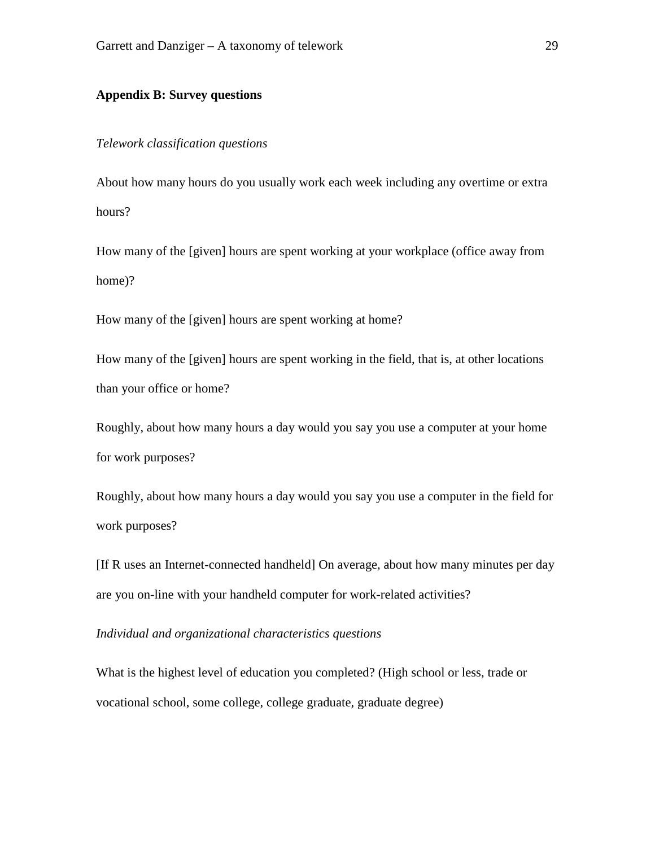#### **Appendix B: Survey questions**

#### *Telework classification questions*

About how many hours do you usually work each week including any overtime or extra hours?

How many of the [given] hours are spent working at your workplace (office away from home)?

How many of the [given] hours are spent working at home?

How many of the [given] hours are spent working in the field, that is, at other locations than your office or home?

Roughly, about how many hours a day would you say you use a computer at your home for work purposes?

Roughly, about how many hours a day would you say you use a computer in the field for work purposes?

[If R uses an Internet-connected handheld] On average, about how many minutes per day are you on-line with your handheld computer for work-related activities?

*Individual and organizational characteristics questions* 

What is the highest level of education you completed? (High school or less, trade or vocational school, some college, college graduate, graduate degree)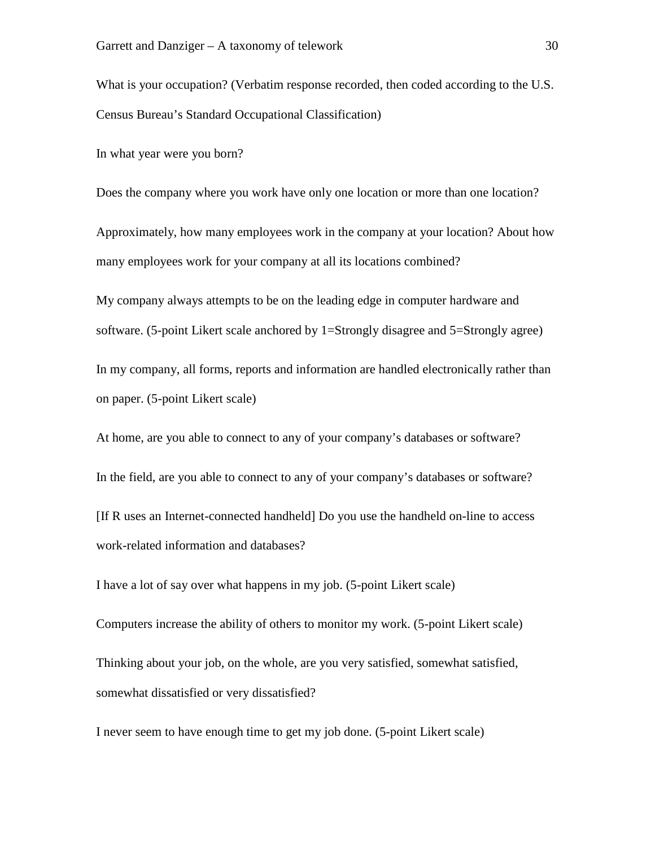What is your occupation? (Verbatim response recorded, then coded according to the U.S. Census Bureau's Standard Occupational Classification)

In what year were you born?

Does the company where you work have only one location or more than one location?

Approximately, how many employees work in the company at your location? About how many employees work for your company at all its locations combined?

My company always attempts to be on the leading edge in computer hardware and software. (5-point Likert scale anchored by 1=Strongly disagree and 5=Strongly agree) In my company, all forms, reports and information are handled electronically rather than on paper. (5-point Likert scale)

At home, are you able to connect to any of your company's databases or software?

In the field, are you able to connect to any of your company's databases or software?

[If R uses an Internet-connected handheld] Do you use the handheld on-line to access work-related information and databases?

I have a lot of say over what happens in my job. (5-point Likert scale)

Computers increase the ability of others to monitor my work. (5-point Likert scale) Thinking about your job, on the whole, are you very satisfied, somewhat satisfied, somewhat dissatisfied or very dissatisfied?

I never seem to have enough time to get my job done. (5-point Likert scale)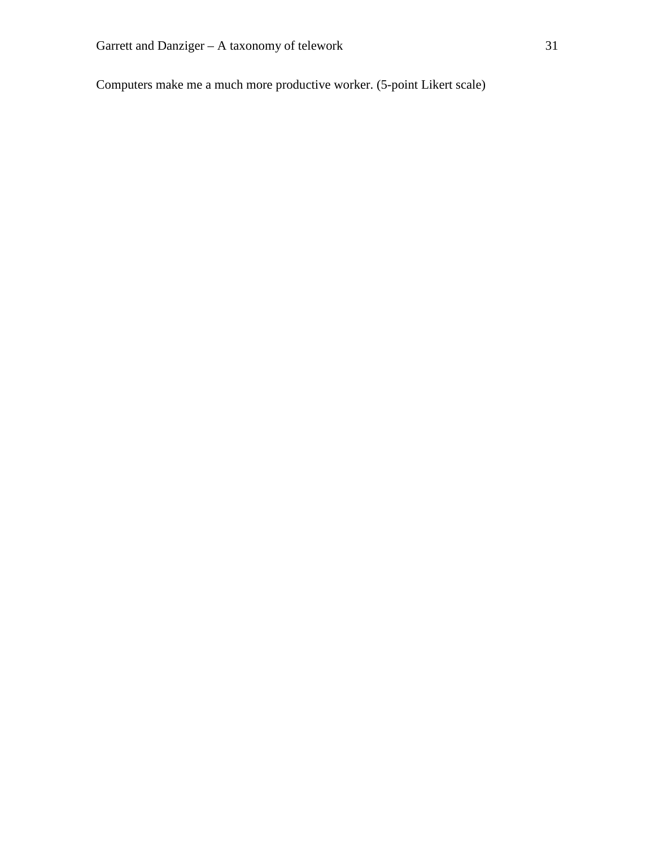Computers make me a much more productive worker. (5-point Likert scale)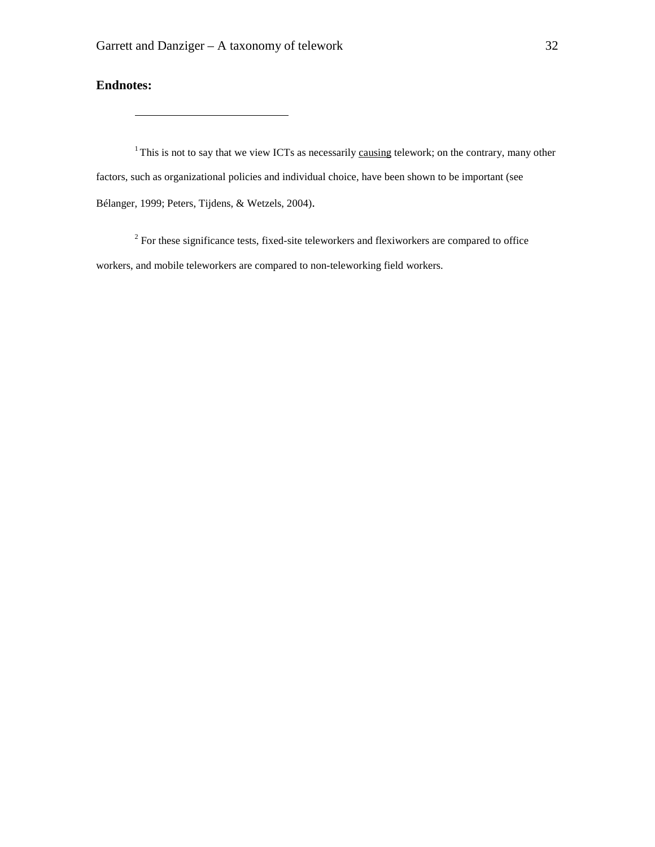# **Endnotes:**

-

<sup>1</sup>This is not to say that we view ICTs as necessarily causing telework; on the contrary, many other factors, such as organizational policies and individual choice, have been shown to be important (see Bélanger, 1999; Peters, Tijdens, & Wetzels, 2004).

 $2^{2}$  For these significance tests, fixed-site teleworkers and flexiworkers are compared to office workers, and mobile teleworkers are compared to non-teleworking field workers.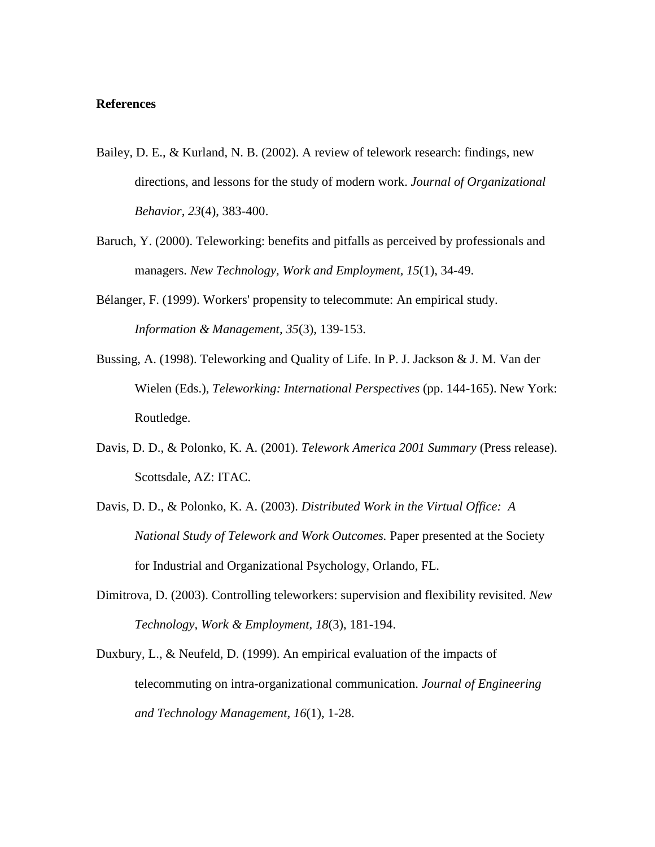#### **References**

- Bailey, D. E., & Kurland, N. B. (2002). A review of telework research: findings, new directions, and lessons for the study of modern work. *Journal of Organizational Behavior, 23*(4), 383-400.
- Baruch, Y. (2000). Teleworking: benefits and pitfalls as perceived by professionals and managers. *New Technology, Work and Employment, 15*(1), 34-49.
- Bélanger, F. (1999). Workers' propensity to telecommute: An empirical study. *Information & Management, 35*(3), 139-153.
- Bussing, A. (1998). Teleworking and Quality of Life. In P. J. Jackson & J. M. Van der Wielen (Eds.), *Teleworking: International Perspectives* (pp. 144-165). New York: Routledge.
- Davis, D. D., & Polonko, K. A. (2001). *Telework America 2001 Summary* (Press release). Scottsdale, AZ: ITAC.
- Davis, D. D., & Polonko, K. A. (2003). *Distributed Work in the Virtual Office: A National Study of Telework and Work Outcomes.* Paper presented at the Society for Industrial and Organizational Psychology, Orlando, FL.
- Dimitrova, D. (2003). Controlling teleworkers: supervision and flexibility revisited. *New Technology, Work & Employment, 18*(3), 181-194.
- Duxbury, L., & Neufeld, D. (1999). An empirical evaluation of the impacts of telecommuting on intra-organizational communication. *Journal of Engineering and Technology Management, 16*(1), 1-28.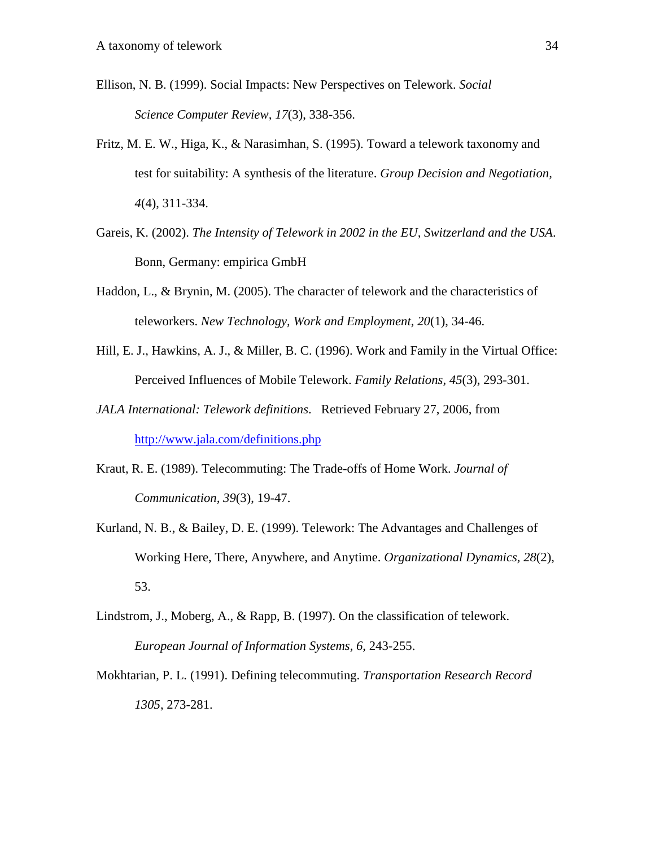- Ellison, N. B. (1999). Social Impacts: New Perspectives on Telework. *Social Science Computer Review, 17*(3), 338-356.
- Fritz, M. E. W., Higa, K., & Narasimhan, S. (1995). Toward a telework taxonomy and test for suitability: A synthesis of the literature. *Group Decision and Negotiation, 4*(4), 311-334.
- Gareis, K. (2002). *The Intensity of Telework in 2002 in the EU, Switzerland and the USA*. Bonn, Germany: empirica GmbH
- Haddon, L., & Brynin, M. (2005). The character of telework and the characteristics of teleworkers. *New Technology, Work and Employment, 20*(1), 34-46.
- Hill, E. J., Hawkins, A. J., & Miller, B. C. (1996). Work and Family in the Virtual Office: Perceived Influences of Mobile Telework. *Family Relations, 45*(3), 293-301.
- *JALA International: Telework definitions*. Retrieved February 27, 2006, from http://www.jala.com/definitions.php
- Kraut, R. E. (1989). Telecommuting: The Trade-offs of Home Work. *Journal of Communication, 39*(3), 19-47.
- Kurland, N. B., & Bailey, D. E. (1999). Telework: The Advantages and Challenges of Working Here, There, Anywhere, and Anytime. *Organizational Dynamics, 28*(2), 53.
- Lindstrom, J., Moberg, A., & Rapp, B. (1997). On the classification of telework. *European Journal of Information Systems, 6*, 243-255.
- Mokhtarian, P. L. (1991). Defining telecommuting. *Transportation Research Record 1305*, 273-281.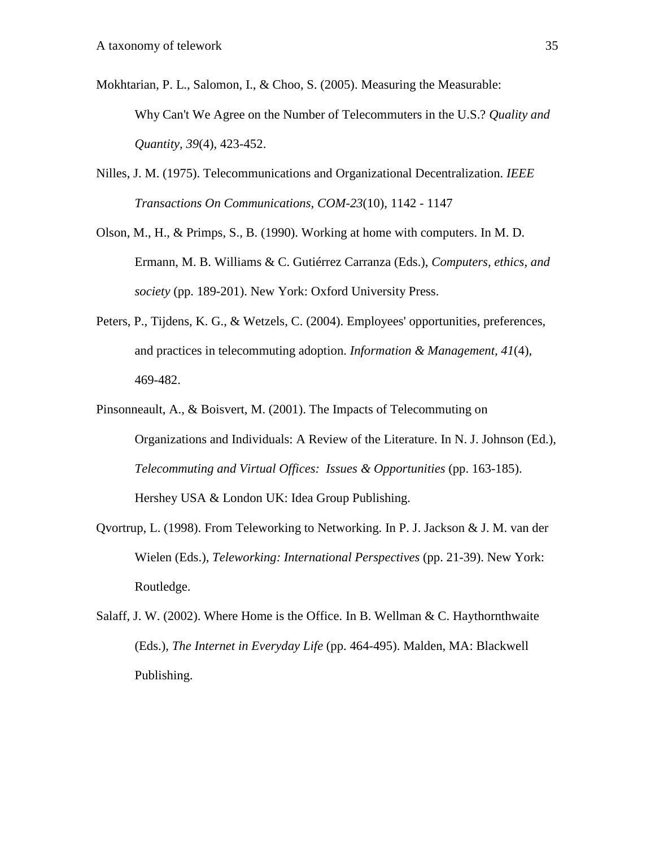- Mokhtarian, P. L., Salomon, I., & Choo, S. (2005). Measuring the Measurable: Why Can't We Agree on the Number of Telecommuters in the U.S.? *Quality and Quantity, 39*(4), 423-452.
- Nilles, J. M. (1975). Telecommunications and Organizational Decentralization. *IEEE Transactions On Communications, COM-23*(10), 1142 - 1147
- Olson, M., H., & Primps, S., B. (1990). Working at home with computers. In M. D. Ermann, M. B. Williams & C. Gutiérrez Carranza (Eds.), *Computers, ethics, and society* (pp. 189-201). New York: Oxford University Press.
- Peters, P., Tijdens, K. G., & Wetzels, C. (2004). Employees' opportunities, preferences, and practices in telecommuting adoption. *Information & Management, 41*(4), 469-482.
- Pinsonneault, A., & Boisvert, M. (2001). The Impacts of Telecommuting on Organizations and Individuals: A Review of the Literature. In N. J. Johnson (Ed.), *Telecommuting and Virtual Offices: Issues & Opportunities* (pp. 163-185). Hershey USA & London UK: Idea Group Publishing.
- Qvortrup, L. (1998). From Teleworking to Networking. In P. J. Jackson & J. M. van der Wielen (Eds.), *Teleworking: International Perspectives* (pp. 21-39). New York: Routledge.
- Salaff, J. W. (2002). Where Home is the Office. In B. Wellman & C. Haythornthwaite (Eds.), *The Internet in Everyday Life* (pp. 464-495). Malden, MA: Blackwell Publishing.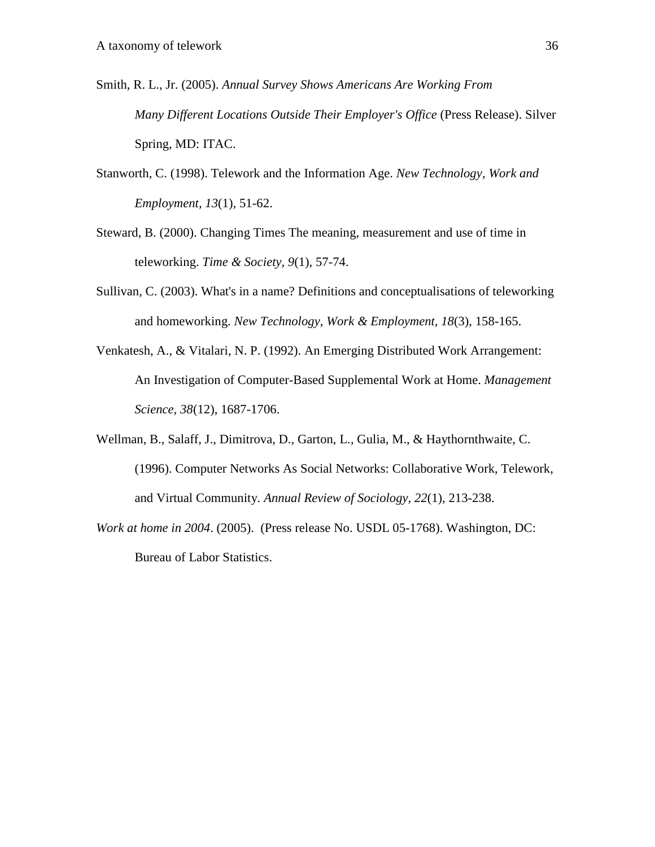- Smith, R. L., Jr. (2005). *Annual Survey Shows Americans Are Working From Many Different Locations Outside Their Employer's Office* (Press Release). Silver Spring, MD: ITAC.
- Stanworth, C. (1998). Telework and the Information Age. *New Technology, Work and Employment, 13*(1), 51-62.
- Steward, B. (2000). Changing Times The meaning, measurement and use of time in teleworking. *Time & Society, 9*(1), 57-74.
- Sullivan, C. (2003). What's in a name? Definitions and conceptualisations of teleworking and homeworking. *New Technology, Work & Employment, 18*(3), 158-165.
- Venkatesh, A., & Vitalari, N. P. (1992). An Emerging Distributed Work Arrangement: An Investigation of Computer-Based Supplemental Work at Home. *Management Science, 38*(12), 1687-1706.
- Wellman, B., Salaff, J., Dimitrova, D., Garton, L., Gulia, M., & Haythornthwaite, C. (1996). Computer Networks As Social Networks: Collaborative Work, Telework, and Virtual Community. *Annual Review of Sociology, 22*(1), 213-238.
- *Work at home in 2004*. (2005). (Press release No. USDL 05-1768). Washington, DC: Bureau of Labor Statistics.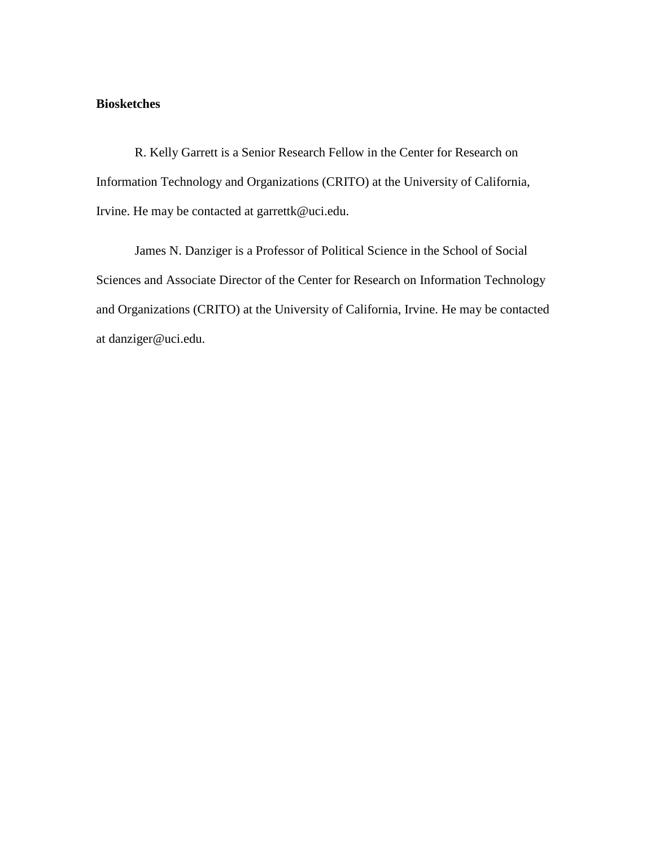#### **Biosketches**

R. Kelly Garrett is a Senior Research Fellow in the Center for Research on Information Technology and Organizations (CRITO) at the University of California, Irvine. He may be contacted at garrettk@uci.edu.

James N. Danziger is a Professor of Political Science in the School of Social Sciences and Associate Director of the Center for Research on Information Technology and Organizations (CRITO) at the University of California, Irvine. He may be contacted at danziger@uci.edu.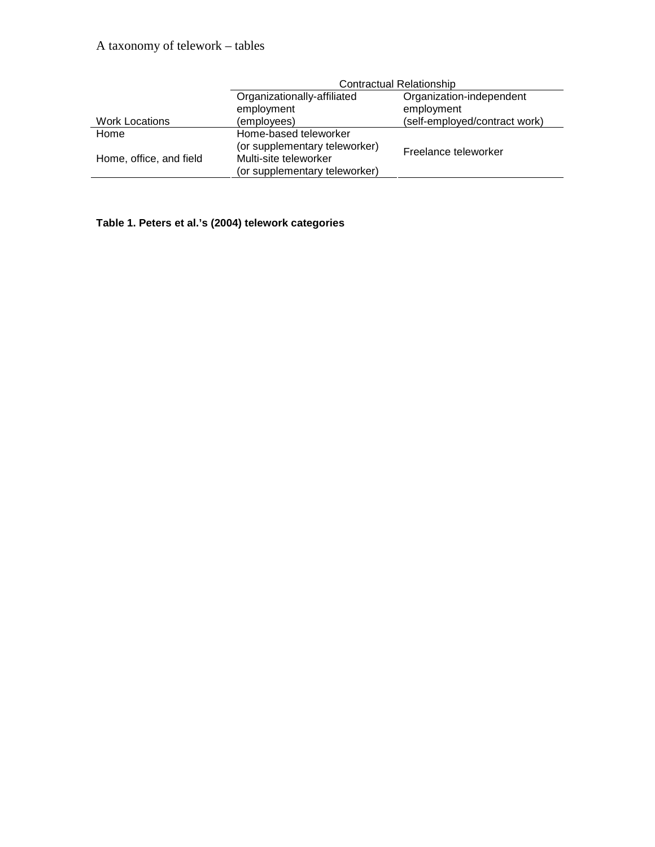# A taxonomy of telework – tables

|                         | <b>Contractual Relationship</b>                          |                                                                         |  |  |
|-------------------------|----------------------------------------------------------|-------------------------------------------------------------------------|--|--|
| <b>Work Locations</b>   | Organizationally-affiliated<br>employment<br>(employees) | Organization-independent<br>employment<br>(self-employed/contract work) |  |  |
|                         |                                                          |                                                                         |  |  |
| Home                    | Home-based teleworker<br>(or supplementary teleworker)   | Freelance teleworker                                                    |  |  |
| Home, office, and field | Multi-site teleworker<br>(or supplementary teleworker)   |                                                                         |  |  |

**Table 1. Peters et al.'s (2004) telework categories**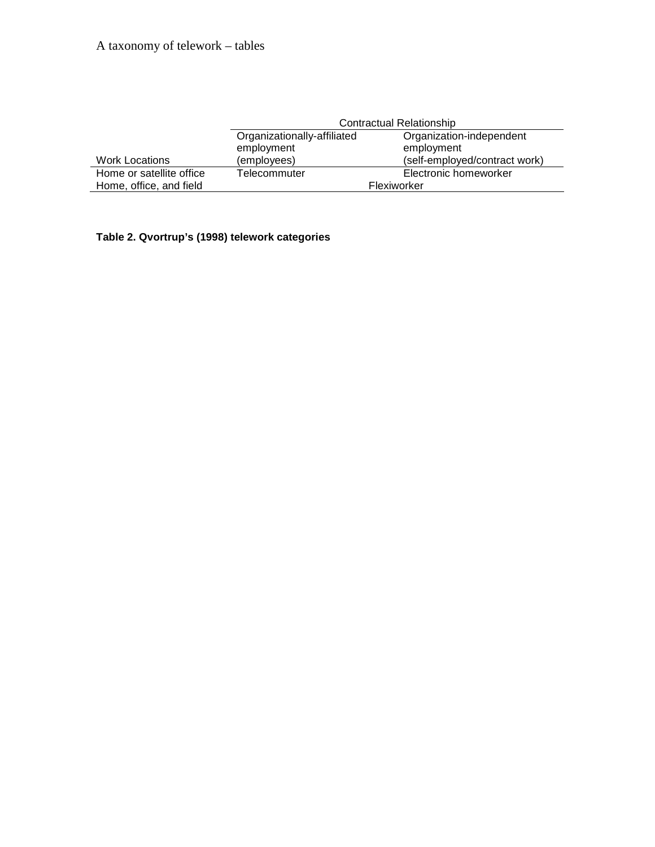|                          | <b>Contractual Relationship</b> |                               |  |  |
|--------------------------|---------------------------------|-------------------------------|--|--|
|                          | Organizationally-affiliated     | Organization-independent      |  |  |
|                          | employment                      | employment                    |  |  |
| <b>Work Locations</b>    | (employees)                     | (self-employed/contract work) |  |  |
| Home or satellite office | Telecommuter                    | Electronic homeworker         |  |  |
| Home, office, and field  |                                 | Flexiworker                   |  |  |

**Table 2. Qvortrup's (1998) telework categories**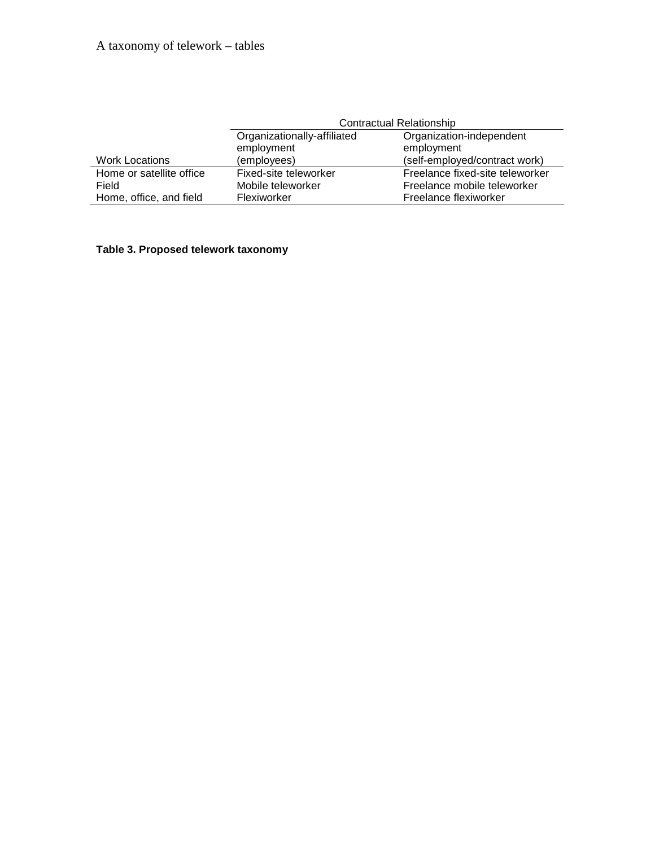|                          | <b>Contractual Relationship</b>                         |                                 |  |  |
|--------------------------|---------------------------------------------------------|---------------------------------|--|--|
|                          | Organizationally-affiliated<br>Organization-independent |                                 |  |  |
|                          | employment                                              | employment                      |  |  |
| <b>Work Locations</b>    | (employees)                                             | (self-employed/contract work)   |  |  |
| Home or satellite office | Fixed-site teleworker                                   | Freelance fixed-site teleworker |  |  |
| Field                    | Mobile teleworker                                       | Freelance mobile teleworker     |  |  |
| Home, office, and field  | Flexiworker                                             | Freelance flexiworker           |  |  |

# **Table 3. Proposed telework taxonomy**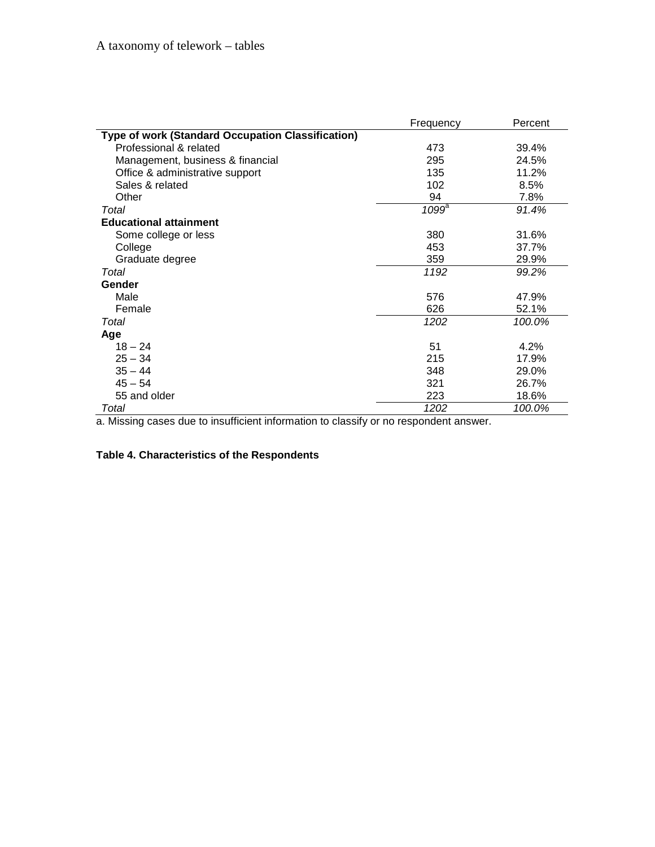|                                                   | Frequency | Percent |
|---------------------------------------------------|-----------|---------|
| Type of work (Standard Occupation Classification) |           |         |
| Professional & related                            | 473       | 39.4%   |
| Management, business & financial                  | 295       | 24.5%   |
| Office & administrative support                   | 135       | 11.2%   |
| Sales & related                                   | 102       | 8.5%    |
| Other                                             | 94        | 7.8%    |
| Total                                             | $1099^a$  | 91.4%   |
| <b>Educational attainment</b>                     |           |         |
| Some college or less                              | 380       | 31.6%   |
| College                                           | 453       | 37.7%   |
| Graduate degree                                   | 359       | 29.9%   |
| Total                                             | 1192      | 99.2%   |
| Gender                                            |           |         |
| Male                                              | 576       | 47.9%   |
| Female                                            | 626       | 52.1%   |
| Total                                             | 1202      | 100.0%  |
| Age                                               |           |         |
| $18 - 24$                                         | 51        | 4.2%    |
| $25 - 34$                                         | 215       | 17.9%   |
| $35 - 44$                                         | 348       | 29.0%   |
| $45 - 54$                                         | 321       | 26.7%   |
| 55 and older                                      | 223       | 18.6%   |
| Total                                             | 1202      | 100.0%  |

a. Missing cases due to insufficient information to classify or no respondent answer.

# **Table 4. Characteristics of the Respondents**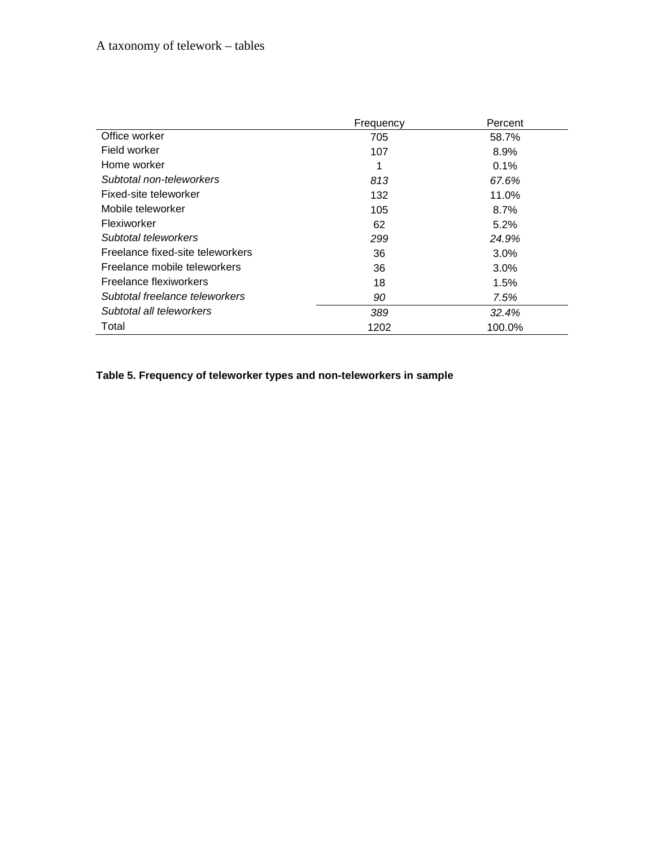|                                  | Frequency | Percent |
|----------------------------------|-----------|---------|
| Office worker                    | 705       | 58.7%   |
| Field worker                     | 107       | 8.9%    |
| Home worker                      |           | $0.1\%$ |
| Subtotal non-teleworkers         | 813       | 67.6%   |
| Fixed-site teleworker            | 132       | 11.0%   |
| Mobile teleworker                | 105       | 8.7%    |
| Flexiworker                      | 62        | 5.2%    |
| Subtotal teleworkers             | 299       | 24.9%   |
| Freelance fixed-site teleworkers | 36        | 3.0%    |
| Freelance mobile teleworkers     | 36        | 3.0%    |
| Freelance flexiworkers           | 18        | 1.5%    |
| Subtotal freelance teleworkers   | 90        | 7.5%    |
| Subtotal all teleworkers         | 389       | 32.4%   |
| Total                            | 1202      | 100.0%  |

**Table 5. Frequency of teleworker types and non-teleworkers in sample**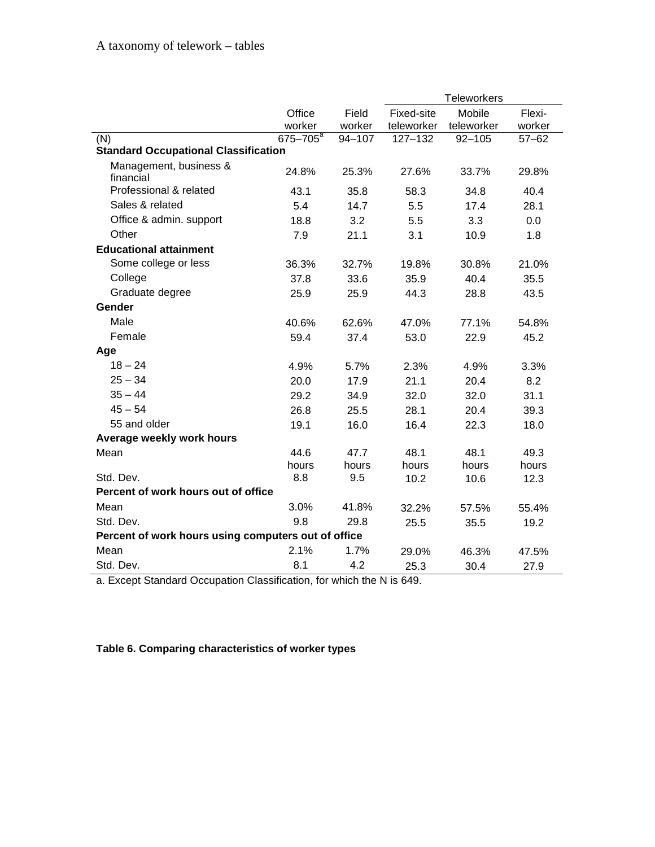|                                                     |                     |        |             | <b>Teleworkers</b> |           |
|-----------------------------------------------------|---------------------|--------|-------------|--------------------|-----------|
|                                                     | Office              | Field  | Fixed-site  | Mobile             | Flexi-    |
|                                                     | worker              | worker | teleworker  | teleworker         | worker    |
| (N)                                                 | $675 - 705^{\circ}$ | 94-107 | $127 - 132$ | $92 - 105$         | $57 - 62$ |
| <b>Standard Occupational Classification</b>         |                     |        |             |                    |           |
| Management, business &<br>financial                 | 24.8%               | 25.3%  | 27.6%       | 33.7%              | 29.8%     |
| Professional & related                              | 43.1                | 35.8   | 58.3        | 34.8               | 40.4      |
| Sales & related                                     | 5.4                 | 14.7   | 5.5         | 17.4               | 28.1      |
| Office & admin. support                             | 18.8                | 3.2    | 5.5         | 3.3                | 0.0       |
| Other                                               | 7.9                 | 21.1   | 3.1         | 10.9               | 1.8       |
| <b>Educational attainment</b>                       |                     |        |             |                    |           |
| Some college or less                                | 36.3%               | 32.7%  | 19.8%       | 30.8%              | 21.0%     |
| College                                             | 37.8                | 33.6   | 35.9        | 40.4               | 35.5      |
| Graduate degree                                     | 25.9                | 25.9   | 44.3        | 28.8               | 43.5      |
| Gender                                              |                     |        |             |                    |           |
| Male                                                | 40.6%               | 62.6%  | 47.0%       | 77.1%              | 54.8%     |
| Female                                              | 59.4                | 37.4   | 53.0        | 22.9               | 45.2      |
| Age                                                 |                     |        |             |                    |           |
| $18 - 24$                                           | 4.9%                | 5.7%   | 2.3%        | 4.9%               | 3.3%      |
| $25 - 34$                                           | 20.0                | 17.9   | 21.1        | 20.4               | 8.2       |
| $35 - 44$                                           | 29.2                | 34.9   | 32.0        | 32.0               | 31.1      |
| $45 - 54$                                           | 26.8                | 25.5   | 28.1        | 20.4               | 39.3      |
| 55 and older                                        | 19.1                | 16.0   | 16.4        | 22.3               | 18.0      |
| Average weekly work hours                           |                     |        |             |                    |           |
| Mean                                                | 44.6                | 47.7   | 48.1        | 48.1               | 49.3      |
|                                                     | hours               | hours  | hours       | hours              | hours     |
| Std. Dev.                                           | 8.8                 | 9.5    | 10.2        | 10.6               | 12.3      |
| Percent of work hours out of office                 |                     |        |             |                    |           |
| Mean                                                | 3.0%                | 41.8%  | 32.2%       | 57.5%              | 55.4%     |
| Std. Dev.                                           | 9.8                 | 29.8   | 25.5        | 35.5               | 19.2      |
| Percent of work hours using computers out of office |                     |        |             |                    |           |
| Mean                                                | 2.1%                | 1.7%   | 29.0%       | 46.3%              | 47.5%     |
| Std. Dev.                                           | 8.1                 | 4.2    | 25.3        | 30.4               | 27.9      |

a. Except Standard Occupation Classification, for which the N is 649.

## **Table 6. Comparing characteristics of worker types**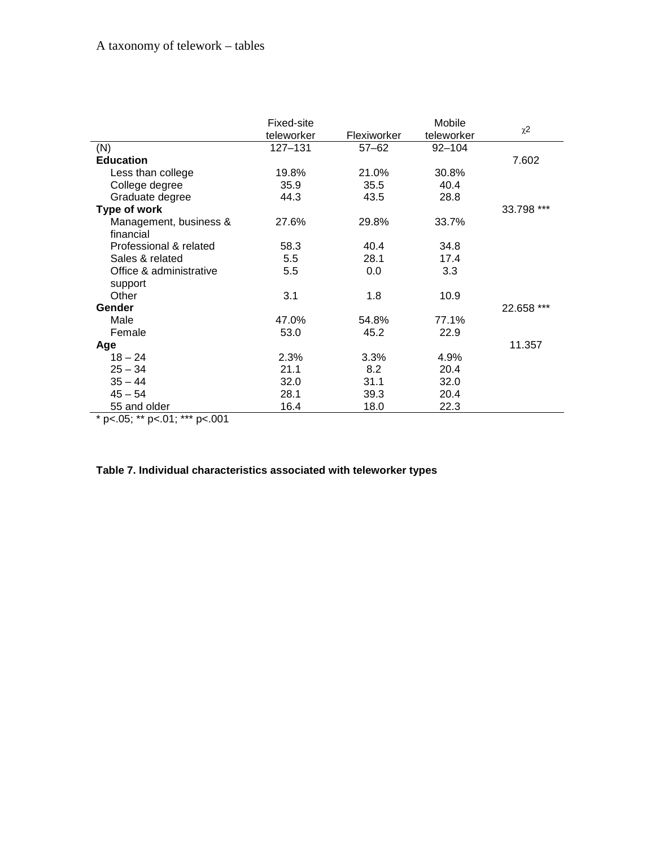|                                                                                             | Fixed-site |             | Mobile     |            |
|---------------------------------------------------------------------------------------------|------------|-------------|------------|------------|
|                                                                                             | teleworker | Flexiworker | teleworker | χ2         |
| (N)                                                                                         | 127-131    | $57 - 62$   | $92 - 104$ |            |
| <b>Education</b>                                                                            |            |             |            | 7.602      |
| Less than college                                                                           | 19.8%      | 21.0%       | 30.8%      |            |
| College degree                                                                              | 35.9       | 35.5        | 40.4       |            |
| Graduate degree                                                                             | 44.3       | 43.5        | 28.8       |            |
| Type of work                                                                                |            |             |            | 33.798 *** |
| Management, business &                                                                      | 27.6%      | 29.8%       | 33.7%      |            |
| financial                                                                                   |            |             |            |            |
| Professional & related                                                                      | 58.3       | 40.4        | 34.8       |            |
| Sales & related                                                                             | 5.5        | 28.1        | 17.4       |            |
| Office & administrative                                                                     | $5.5\,$    | 0.0         | 3.3        |            |
| support                                                                                     |            |             |            |            |
| Other                                                                                       | 3.1        | 1.8         | 10.9       |            |
| Gender                                                                                      |            |             |            | 22.658 *** |
| Male                                                                                        | 47.0%      | 54.8%       | 77.1%      |            |
| Female                                                                                      | 53.0       | 45.2        | 22.9       |            |
| Age                                                                                         |            |             |            | 11.357     |
| $18 - 24$                                                                                   | 2.3%       | 3.3%        | 4.9%       |            |
| $25 - 34$                                                                                   | 21.1       | 8.2         | 20.4       |            |
| $35 - 44$                                                                                   | 32.0       | 31.1        | 32.0       |            |
| $45 - 54$                                                                                   | 28.1       | 39.3        | 20.4       |            |
| 55 and older                                                                                | 16.4       | 18.0        | 22.3       |            |
| $*_{R}$ , $\Lambda$ $F$ , $*_{R}$ , $\Lambda$ , $\Lambda$ , $*_{R}$ , $\Lambda$ , $\Lambda$ |            |             |            |            |

\* p<.05; \*\* p<.01; \*\*\* p<.001

# **Table 7. Individual characteristics associated with teleworker types**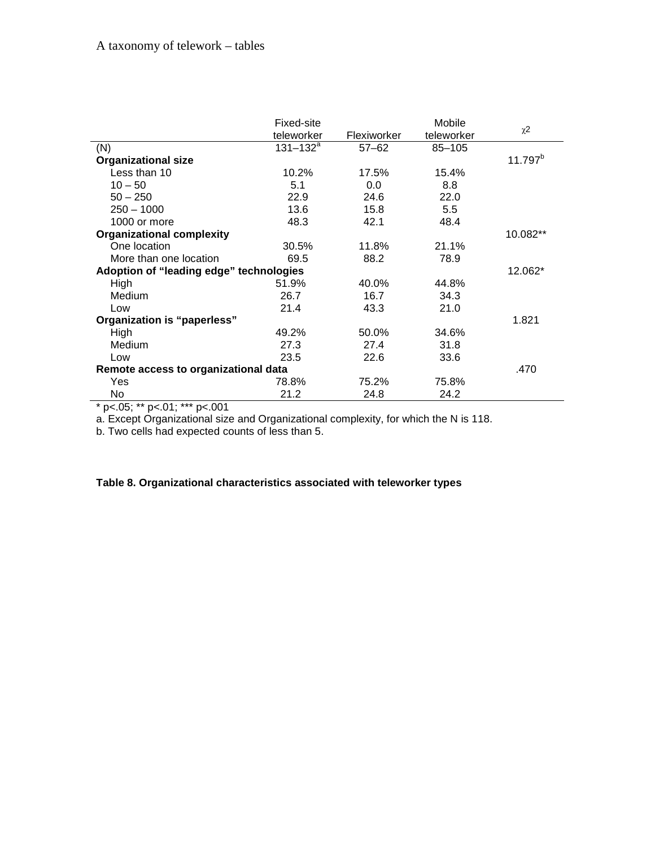|                                         | Fixed-site    |             | Mobile     |                     |
|-----------------------------------------|---------------|-------------|------------|---------------------|
|                                         | teleworker    | Flexiworker | teleworker | $\chi$ <sup>2</sup> |
| (N)                                     | $131 - 132^a$ | $57 - 62$   | $85 - 105$ |                     |
| <b>Organizational size</b>              |               |             |            | $11.797^{b}$        |
| Less than 10                            | 10.2%         | 17.5%       | 15.4%      |                     |
| $10 - 50$                               | 5.1           | 0.0         | 8.8        |                     |
| $50 - 250$                              | 22.9          | 24.6        | 22.0       |                     |
| $250 - 1000$                            | 13.6          | 15.8        | 5.5        |                     |
| 1000 or more                            | 48.3          | 42.1        | 48.4       |                     |
| <b>Organizational complexity</b>        |               |             |            | 10.082**            |
| One location                            | 30.5%         | 11.8%       | 21.1%      |                     |
| More than one location                  | 69.5          | 88.2        | 78.9       |                     |
| Adoption of "leading edge" technologies |               |             |            | 12.062*             |
| High                                    | 51.9%         | 40.0%       | 44.8%      |                     |
| Medium                                  | 26.7          | 16.7        | 34.3       |                     |
| Low                                     | 21.4          | 43.3        | 21.0       |                     |
| Organization is "paperless"             |               |             |            | 1.821               |
| High                                    | 49.2%         | 50.0%       | 34.6%      |                     |
| Medium                                  | 27.3          | 27.4        | 31.8       |                     |
| Low                                     | 23.5          | 22.6        | 33.6       |                     |
| Remote access to organizational data    |               |             |            | .470                |
| Yes                                     | 78.8%         | 75.2%       | 75.8%      |                     |
| No                                      | 21.2          | 24.8        | 24.2       |                     |

\* p<.05; \*\* p<.01; \*\*\* p<.001

a. Except Organizational size and Organizational complexity, for which the N is 118.

b. Two cells had expected counts of less than 5.

#### **Table 8. Organizational characteristics associated with teleworker types**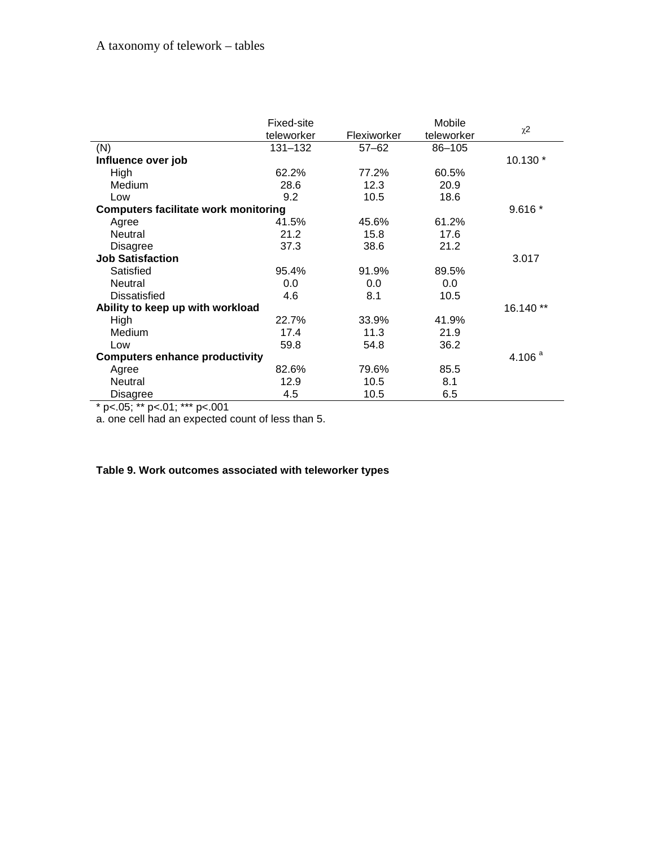| teleworker<br>Flexiworker<br>teleworker<br>$131 - 132$<br>$57 - 62$<br>86-105<br>(N)<br>10.130 *<br>Influence over job<br>62.2%<br>77.2%<br>High<br>60.5%<br>28.6<br>Medium<br>12.3<br>20.9<br>10.5<br>18.6<br>9.2<br>Low<br>$9.616*$<br><b>Computers facilitate work monitoring</b><br>45.6%<br>61.2%<br>41.5%<br>Agree<br>21.2<br>15.8<br>Neutral<br>17.6 |          | Fixed-site |      | Mobile |                     |
|-------------------------------------------------------------------------------------------------------------------------------------------------------------------------------------------------------------------------------------------------------------------------------------------------------------------------------------------------------------|----------|------------|------|--------|---------------------|
|                                                                                                                                                                                                                                                                                                                                                             |          |            |      |        | $\chi$ <sup>2</sup> |
|                                                                                                                                                                                                                                                                                                                                                             |          |            |      |        |                     |
|                                                                                                                                                                                                                                                                                                                                                             |          |            |      |        |                     |
|                                                                                                                                                                                                                                                                                                                                                             |          |            |      |        |                     |
|                                                                                                                                                                                                                                                                                                                                                             |          |            |      |        |                     |
|                                                                                                                                                                                                                                                                                                                                                             |          |            |      |        |                     |
|                                                                                                                                                                                                                                                                                                                                                             |          |            |      |        |                     |
|                                                                                                                                                                                                                                                                                                                                                             |          |            |      |        |                     |
|                                                                                                                                                                                                                                                                                                                                                             |          |            |      |        |                     |
|                                                                                                                                                                                                                                                                                                                                                             | Disagree | 37.3       | 38.6 | 21.2   |                     |
| <b>Job Satisfaction</b><br>3.017                                                                                                                                                                                                                                                                                                                            |          |            |      |        |                     |
| Satisfied<br>95.4%<br>91.9%<br>89.5%                                                                                                                                                                                                                                                                                                                        |          |            |      |        |                     |
| 0.0<br>0.0<br>Neutral<br>0.0                                                                                                                                                                                                                                                                                                                                |          |            |      |        |                     |
| <b>Dissatisfied</b><br>10.5<br>4.6<br>8.1                                                                                                                                                                                                                                                                                                                   |          |            |      |        |                     |
| 16.140**<br>Ability to keep up with workload                                                                                                                                                                                                                                                                                                                |          |            |      |        |                     |
| 22.7%<br>High<br>33.9%<br>41.9%                                                                                                                                                                                                                                                                                                                             |          |            |      |        |                     |
| Medium<br>17.4<br>11.3<br>21.9                                                                                                                                                                                                                                                                                                                              |          |            |      |        |                     |
| 59.8<br>54.8<br>36.2<br>Low                                                                                                                                                                                                                                                                                                                                 |          |            |      |        |                     |
| 4.106 $a$<br><b>Computers enhance productivity</b>                                                                                                                                                                                                                                                                                                          |          |            |      |        |                     |
| 82.6%<br>79.6%<br>85.5<br>Agree                                                                                                                                                                                                                                                                                                                             |          |            |      |        |                     |
| 12.9<br>10.5<br>8.1<br>Neutral                                                                                                                                                                                                                                                                                                                              |          |            |      |        |                     |
| 4.5<br>10.5<br>6.5<br><b>Disagree</b>                                                                                                                                                                                                                                                                                                                       |          |            |      |        |                     |

\* p<.05; \*\* p<.01; \*\*\* p<.001

a. one cell had an expected count of less than 5.

### **Table 9. Work outcomes associated with teleworker types**